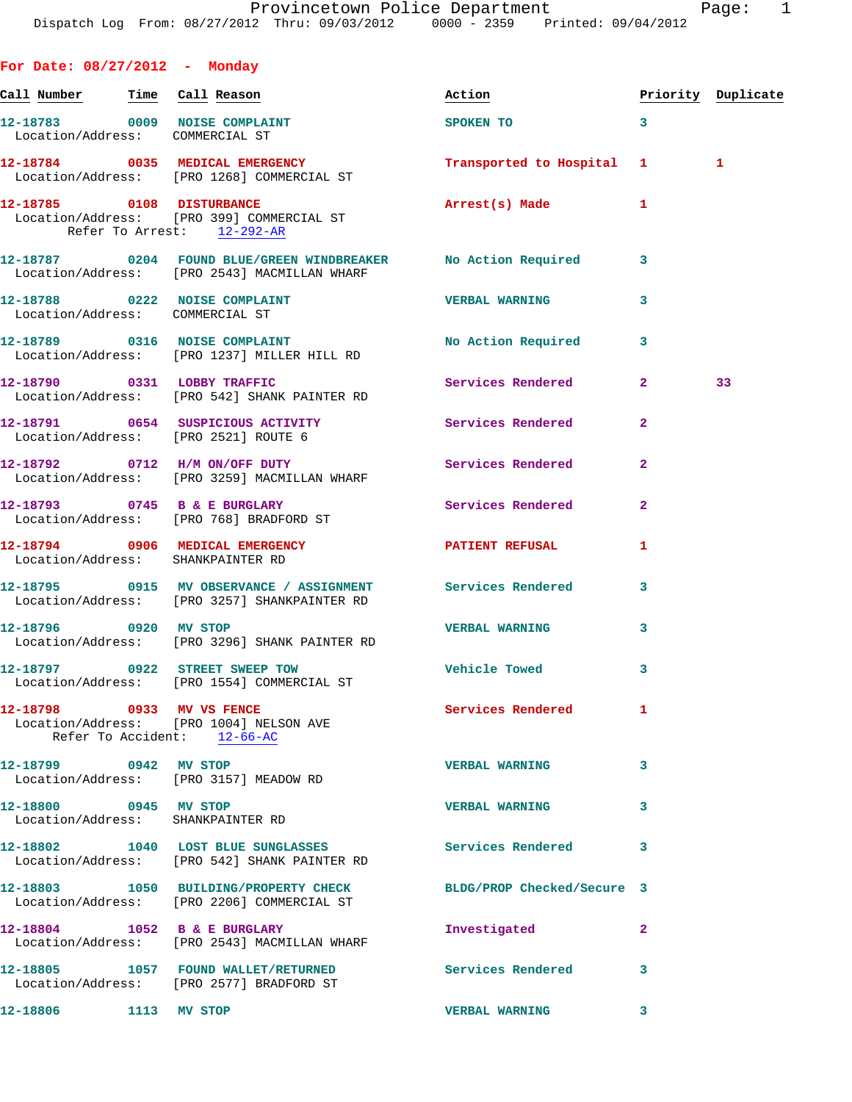| For Date: 08/27/2012 - Monday   |                                                                                                                  |                            |                         |                    |
|---------------------------------|------------------------------------------------------------------------------------------------------------------|----------------------------|-------------------------|--------------------|
| Call Number Time Call Reason    |                                                                                                                  | Action                     |                         | Priority Duplicate |
| Location/Address: COMMERCIAL ST | 12-18783 0009 NOISE COMPLAINT                                                                                    | SPOKEN TO                  | 3                       |                    |
|                                 | 12-18784 0035 MEDICAL EMERGENCY<br>Location/Address: [PRO 1268] COMMERCIAL ST                                    | Transported to Hospital 1  |                         | 1                  |
| 12-18785 0108 DISTURBANCE       | Location/Address: [PRO 399] COMMERCIAL ST<br>Refer To Arrest: 12-292-AR                                          | Arrest(s) Made             | 1                       |                    |
|                                 | 12-18787 		 0204 FOUND BLUE/GREEN WINDBREAKER No Action Required<br>Location/Address: [PRO 2543] MACMILLAN WHARF |                            | 3                       |                    |
| Location/Address: COMMERCIAL ST | 12-18788 0222 NOISE COMPLAINT                                                                                    | <b>VERBAL WARNING</b>      | 3                       |                    |
|                                 | 12-18789 0316 NOISE COMPLAINT<br>Location/Address: [PRO 1237] MILLER HILL RD                                     | <b>No Action Required</b>  | 3                       |                    |
|                                 | 12-18790 0331 LOBBY TRAFFIC<br>Location/Address: [PRO 542] SHANK PAINTER RD                                      | Services Rendered          | $\mathbf{2}$            | 33                 |
|                                 | 12-18791 0654 SUSPICIOUS ACTIVITY<br>Location/Address: [PRO 2521] ROUTE 6                                        | Services Rendered          | $\overline{\mathbf{2}}$ |                    |
|                                 | 12-18792 0712 H/M ON/OFF DUTY<br>Location/Address: [PRO 3259] MACMILLAN WHARF                                    | Services Rendered          | $\overline{\mathbf{2}}$ |                    |
|                                 | 12-18793 0745 B & E BURGLARY<br>Location/Address: [PRO 768] BRADFORD ST                                          | <b>Services Rendered</b>   | $\overline{2}$          |                    |
|                                 | 12-18794 0906 MEDICAL EMERGENCY<br>Location/Address: SHANKPAINTER RD                                             | PATIENT REFUSAL            | 1                       |                    |
|                                 | 12-18795 0915 MV OBSERVANCE / ASSIGNMENT Services Rendered<br>Location/Address: [PRO 3257] SHANKPAINTER RD       |                            | 3                       |                    |
| 12-18796 0920 MV STOP           | Location/Address: [PRO 3296] SHANK PAINTER RD                                                                    | <b>VERBAL WARNING</b>      | 3                       |                    |
|                                 | 12-18797 0922 STREET SWEEP TOW<br>Location/Address: [PRO 1554] COMMERCIAL ST                                     | Vehicle Towed              | 3                       |                    |
| 12-18798 0933 MV VS FENCE       | Location/Address: [PRO 1004] NELSON AVE<br>Refer To Accident: 12-66-AC                                           | Services Rendered          | 1                       |                    |
| 12-18799 0942 MV STOP           | Location/Address: [PRO 3157] MEADOW RD                                                                           | <b>VERBAL WARNING</b>      | 3                       |                    |
| 12-18800 0945 MV STOP           | Location/Address: SHANKPAINTER RD                                                                                | <b>VERBAL WARNING</b>      | 3                       |                    |
|                                 | 12-18802 1040 LOST BLUE SUNGLASSES<br>Location/Address: [PRO 542] SHANK PAINTER RD                               | <b>Services Rendered</b>   | 3                       |                    |
|                                 | 12-18803 1050 BUILDING/PROPERTY CHECK<br>Location/Address: [PRO 2206] COMMERCIAL ST                              | BLDG/PROP Checked/Secure 3 |                         |                    |
|                                 | 12-18804 1052 B & E BURGLARY<br>Location/Address: [PRO 2543] MACMILLAN WHARF                                     | Investigated               | $\mathbf{2}$            |                    |
|                                 | 12-18805 1057 FOUND WALLET/RETURNED<br>Location/Address: [PRO 2577] BRADFORD ST                                  | <b>Services Rendered</b>   | 3                       |                    |
| 12-18806                        | 1113 MV STOP                                                                                                     | <b>VERBAL WARNING</b>      | 3                       |                    |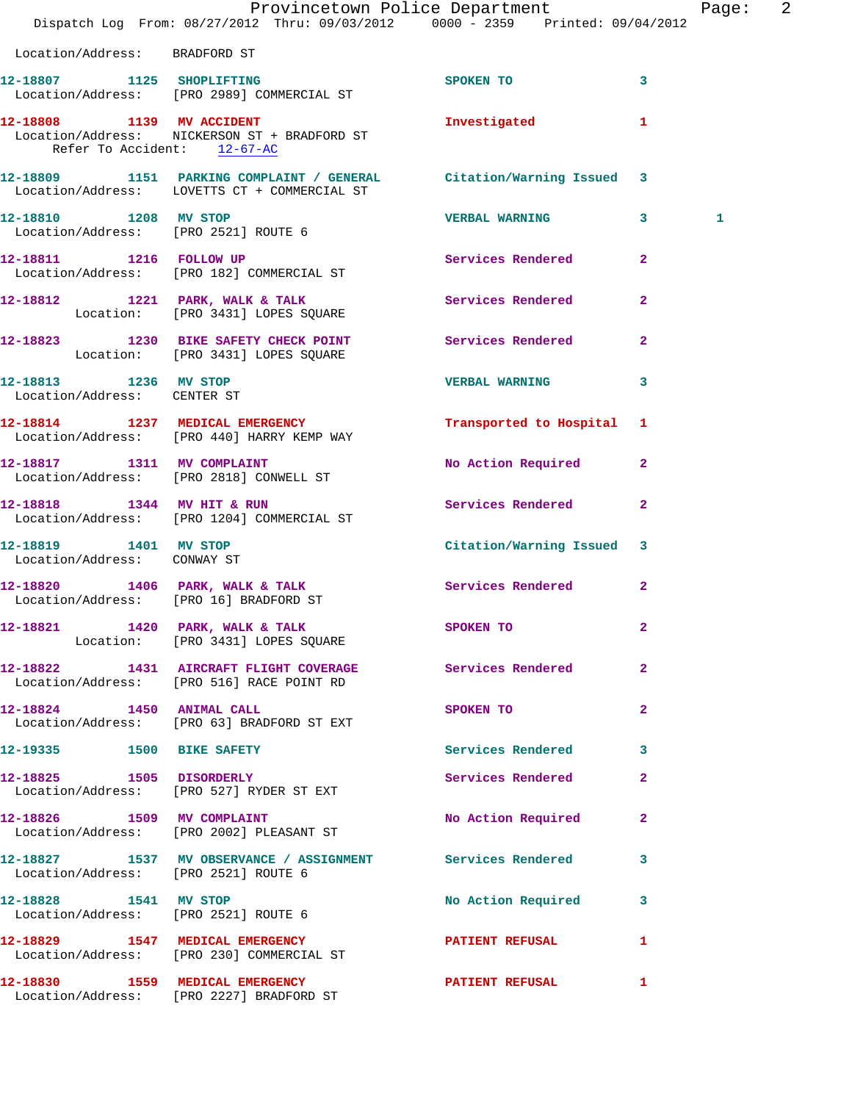|                                                      | Provincetown Police Department Fage: 2<br>Dispatch Log From: 08/27/2012 Thru: 09/03/2012 0000 - 2359 Printed: 09/04/2012 |                           |                |   |  |
|------------------------------------------------------|--------------------------------------------------------------------------------------------------------------------------|---------------------------|----------------|---|--|
| Location/Address: BRADFORD ST                        |                                                                                                                          |                           |                |   |  |
|                                                      | 12-18807 1125 SHOPLIFTING<br>Location/Address: [PRO 2989] COMMERCIAL ST                                                  | SPOKEN TO                 | 3              |   |  |
| Refer To Accident: 12-67-AC                          | 12-18808 1139 MV ACCIDENT<br>Location/Address: NICKERSON ST + BRADFORD ST                                                | Investigated              | $\mathbf{1}$   |   |  |
|                                                      | 12-18809 1151 PARKING COMPLAINT / GENERAL Citation/Warning Issued 3<br>Location/Address: LOVETTS CT + COMMERCIAL ST      |                           |                |   |  |
| Location/Address: [PRO 2521] ROUTE 6                 | 12-18810 1208 MV STOP                                                                                                    | <b>VERBAL WARNING 3</b>   |                | 1 |  |
|                                                      | 12-18811 1216 FOLLOW UP<br>Location/Address: [PRO 182] COMMERCIAL ST                                                     | Services Rendered 2       |                |   |  |
|                                                      | 12-18812 1221 PARK, WALK & TALK 1999 Services Rendered<br>Location: [PRO 3431] LOPES SQUARE                              |                           | $\overline{2}$ |   |  |
|                                                      | 12-18823 1230 BIKE SAFETY CHECK POINT Services Rendered 2<br>Location: [PRO 3431] LOPES SQUARE                           |                           |                |   |  |
| 12-18813 1236 MV STOP<br>Location/Address: CENTER ST |                                                                                                                          | <b>VERBAL WARNING</b>     | $\mathbf{3}$   |   |  |
|                                                      | 12-18814 1237 MEDICAL EMERGENCY<br>Location/Address: [PRO 440] HARRY KEMP WAY                                            | Transported to Hospital 1 |                |   |  |
|                                                      | 12-18817 1311 MV COMPLAINT<br>Location/Address: [PRO 2818] CONWELL ST                                                    | No Action Required 2      |                |   |  |
|                                                      | 12-18818 1344 MV HIT & RUN<br>Location/Address: [PRO 1204] COMMERCIAL ST                                                 | Services Rendered         | $\mathbf{2}$   |   |  |
| Location/Address: CONWAY ST                          | 12-18819 1401 MV STOP                                                                                                    | Citation/Warning Issued 3 |                |   |  |
| Location/Address: [PRO 16] BRADFORD ST               | 12-18820 1406 PARK, WALK & TALK                                                                                          | Services Rendered 2       |                |   |  |
|                                                      | 12-18821 1420 PARK, WALK & TALK<br>Location: [PRO 3431] LOPES SQUARE                                                     | SPOKEN TO                 | $\mathbf{2}$   |   |  |
|                                                      | 12-18822 1431 AIRCRAFT FLIGHT COVERAGE Services Rendered 2<br>Location/Address: [PRO 516] RACE POINT RD                  |                           |                |   |  |
| 12-18824 1450 ANIMAL CALL                            | Location/Address: [PRO 63] BRADFORD ST EXT                                                                               | SPOKEN TO                 | $\mathbf{2}$   |   |  |
| 12-19335 1500 BIKE SAFETY                            |                                                                                                                          | Services Rendered 3       |                |   |  |
|                                                      | 12-18825 1505 DISORDERLY<br>Location/Address: [PRO 527] RYDER ST EXT                                                     | Services Rendered         | $\mathbf{2}$   |   |  |
| 12-18826 1509 MV COMPLAINT                           | Location/Address: [PRO 2002] PLEASANT ST                                                                                 | No Action Required 2      |                |   |  |
| Location/Address: [PRO 2521] ROUTE 6                 | 12-18827 1537 MV OBSERVANCE / ASSIGNMENT Services Rendered                                                               |                           | 3              |   |  |
| 12-18828 1541 MV STOP                                | Location/Address: [PRO 2521] ROUTE 6                                                                                     | No Action Required 3      |                |   |  |
|                                                      | 12-18829 1547 MEDICAL EMERGENCY<br>Location/Address: [PRO 230] COMMERCIAL ST                                             | PATIENT REFUSAL           | $\mathbf{1}$   |   |  |
|                                                      | 12-18830 1559 MEDICAL EMERGENCY<br>Location/Address: [PRO 2227] BRADFORD ST                                              | <b>PATIENT REFUSAL</b>    | $\mathbf{1}$   |   |  |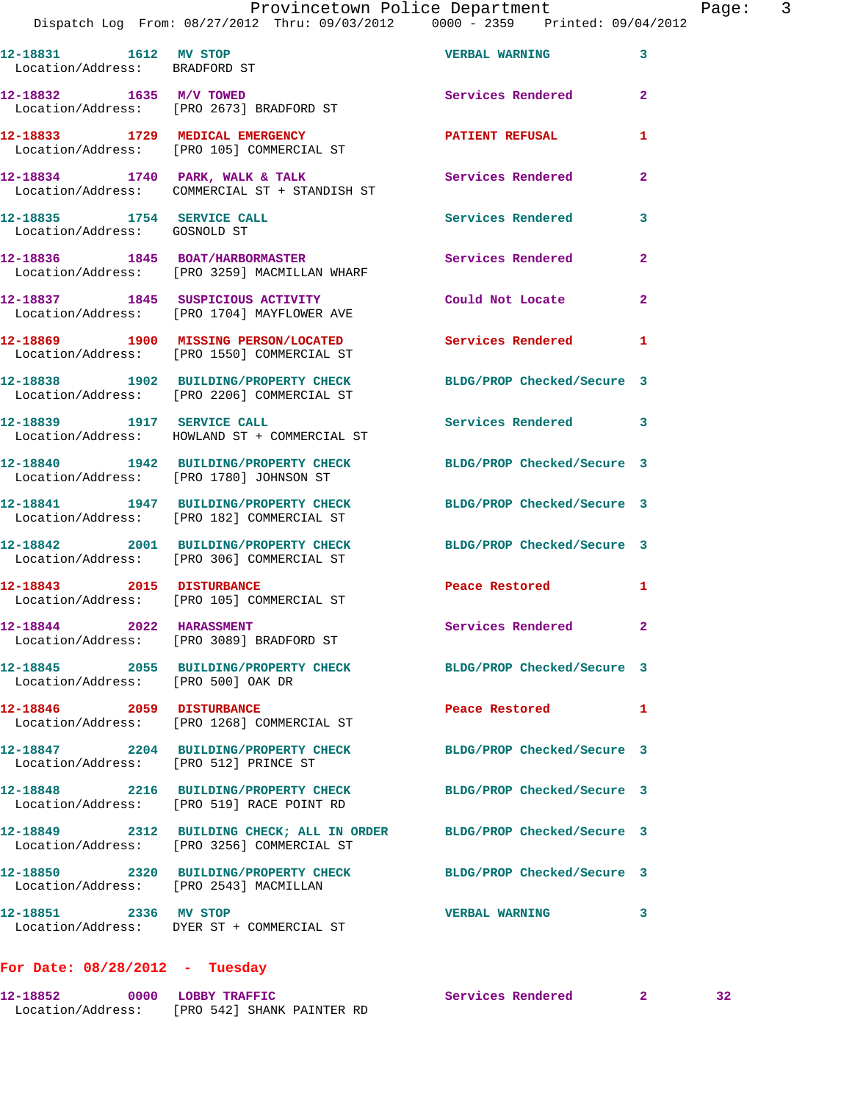## Provincetown Police Department Page: 3

Dispatch Log From: 08/27/2012 Thru: 09/03/2012 0000 - 2359 Printed: 09/04/2012

| 12-18831 1612 MV STOP<br>Location/Address: BRADFORD ST |                                                                               | <b>VERBAL WARNING</b> | 3              |
|--------------------------------------------------------|-------------------------------------------------------------------------------|-----------------------|----------------|
|                                                        | Location/Address: [PRO 2673] BRADFORD ST                                      | Services Rendered     | $\overline{a}$ |
| 12-18833 1729 MEDICAL EMERGENCY                        | Location/Address: [PRO 105] COMMERCIAL ST                                     | PATIENT REFUSAL       | 1              |
| 12-18834<br>1740                                       | PARK, WALK & TALK                                                             | Services Rendered     | 2              |
| 12-18835<br>1754<br>Location/Address: GOSNOLD ST       | SERVICE CALL                                                                  | Services Rendered     | 3              |
| 12-18836                                               | <b>1845 BOAT/HARBORMASTER</b><br>Location/Address: [PRO 3259] MACMILLAN WHARF | Services Rendered     | 2              |

**12-18837 1845 SUSPICIOUS ACTIVITY Could Not Locate 2**  Location/Address: [PRO 1704] MAYFLOWER AVE

**12-18869 1900 MISSING PERSON/LOCATED Services Rendered 1**  Location/Address: [PRO 1550] COMMERCIAL ST

**12-18838 1902 BUILDING/PROPERTY CHECK BLDG/PROP Checked/Secure 3**  Location/Address: [PRO 2206] COMMERCIAL ST

**12-18839 1917 SERVICE CALL Services Rendered 3**  Location/Address: HOWLAND ST + COMMERCIAL ST

**12-18840 1942 BUILDING/PROPERTY CHECK BLDG/PROP Checked/Secure 3**  Location/Address: [PRO 1780] JOHNSON ST

**12-18841 1947 BUILDING/PROPERTY CHECK BLDG/PROP Checked/Secure 3**  Location/Address: [PRO 182] COMMERCIAL ST

**12-18842 2001 BUILDING/PROPERTY CHECK BLDG/PROP Checked/Secure 3**  Location/Address: [PRO 306] COMMERCIAL ST

**12-18843 2015 DISTURBANCE Peace Restored 1**  Location/Address: [PRO 105] COMMERCIAL ST

**12-18844 2022 HARASSMENT Services Rendered 2**  Location/Address: [PRO 3089] BRADFORD ST

**12-18845 2055 BUILDING/PROPERTY CHECK BLDG/PROP Checked/Secure 3**  Location/Address: [PRO 500] OAK DR

**12-18846 2059 DISTURBANCE Peace Restored 1**  Location/Address: [PRO 1268] COMMERCIAL ST

**12-18847 2204 BUILDING/PROPERTY CHECK BLDG/PROP Checked/Secure 3**  Location/Address: [PRO 512] PRINCE ST

**12-18848 2216 BUILDING/PROPERTY CHECK BLDG/PROP Checked/Secure 3**  Location/Address: [PRO 519] RACE POINT RD

**12-18849 2312 BUILDING CHECK; ALL IN ORDER BLDG/PROP Checked/Secure 3**  Location/Address: [PRO 3256] COMMERCIAL ST

**12-18850 2320 BUILDING/PROPERTY CHECK BLDG/PROP Checked/Secure 3** 

Location/Address: [PRO 2543] MACMILLAN

**12-18851 2336 MV STOP VERBAL WARNING 3**  Location/Address: DYER ST + COMMERCIAL ST

## **For Date: 08/28/2012 - Tuesday**

**12-18852 0000 LOBBY TRAFFIC Services Rendered 2 32**  Location/Address: [PRO 542] SHANK PAINTER RD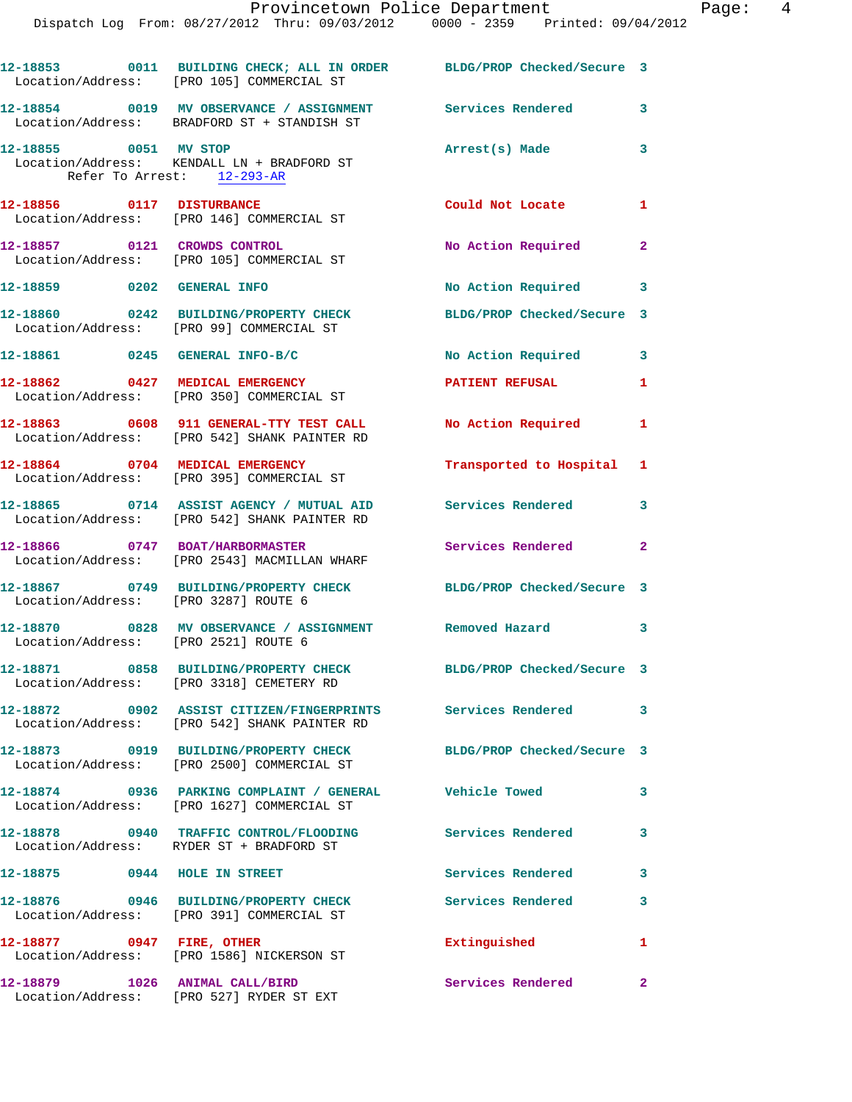|                                                     | Provincetown Police Department<br>Dispatch Log From: 08/27/2012 Thru: 09/03/2012 0000 - 2359 Printed: 09/04/2012     |                            |              |
|-----------------------------------------------------|----------------------------------------------------------------------------------------------------------------------|----------------------------|--------------|
|                                                     | 12-18853 0011 BUILDING CHECK; ALL IN ORDER BLDG/PROP Checked/Secure 3<br>Location/Address: [PRO 105] COMMERCIAL ST   |                            |              |
|                                                     | 12-18854     0019 MV OBSERVANCE / ASSIGNMENT      Services Rendered<br>Location/Address:   BRADFORD ST + STANDISH ST |                            | $\mathbf{3}$ |
| 12-18855 0051 MV STOP<br>Refer To Arrest: 12-293-AR | Location/Address: KENDALL LN + BRADFORD ST                                                                           | Arrest(s) Made             | 3            |
|                                                     | 12-18856 0117 DISTURBANCE<br>Location/Address: [PRO 146] COMMERCIAL ST                                               | Could Not Locate           | 1            |
|                                                     | 12-18857 0121 CROWDS CONTROL<br>Location/Address: [PRO 105] COMMERCIAL ST                                            | No Action Required         | $\mathbf{2}$ |
| 12-18859 0202 GENERAL INFO                          |                                                                                                                      | No Action Required 3       |              |
|                                                     | 12-18860 0242 BUILDING/PROPERTY CHECK<br>Location/Address: [PRO 99] COMMERCIAL ST                                    | BLDG/PROP Checked/Secure 3 |              |
|                                                     | 12-18861 0245 GENERAL INFO-B/C                                                                                       | No Action Required         | $\mathbf{3}$ |
|                                                     | 12-18862 0427 MEDICAL EMERGENCY<br>Location/Address: [PRO 350] COMMERCIAL ST                                         | <b>PATIENT REFUSAL</b>     | 1            |
|                                                     | 12-18863 0608 911 GENERAL-TTY TEST CALL No Action Required<br>Location/Address: [PRO 542] SHANK PAINTER RD           |                            | 1            |
|                                                     | 12-18864 0704 MEDICAL EMERGENCY<br>Location/Address: [PRO 395] COMMERCIAL ST                                         | Transported to Hospital    | 1            |
|                                                     | 12-18865 0714 ASSIST AGENCY / MUTUAL AID Services Rendered<br>Location/Address: [PRO 542] SHANK PAINTER RD           |                            | $\mathbf{3}$ |
|                                                     | 12-18866 0747 BOAT/HARBORMASTER<br>Location/Address: [PRO 2543] MACMILLAN WHARF                                      | <b>Services Rendered</b>   | $\mathbf{2}$ |
| 12-18867<br>0749<br>Location/Address:               | <b>BUILDING/PROPERTY CHECK</b><br>[PRO 3287] ROUTE 6                                                                 | BLDG/PROP Checked/Secure 3 |              |
| 12-18870<br>Location/Address:                       | 0828 MV OBSERVANCE / ASSIGNMENT<br>[PRO 2521] ROUTE 6                                                                | Removed Hazard             | 3            |
| 12-18871<br>0858<br>Location/Address:               | <b>BUILDING/PROPERTY CHECK</b><br>[PRO 3318] CEMETERY RD                                                             | BLDG/PROP Checked/Secure 3 |              |

 Location/Address: [PRO 542] SHANK PAINTER RD **12-18873 0919 BUILDING/PROPERTY CHECK BLDG/PROP Checked/Secure 3**  Location/Address: [PRO 2500] COMMERCIAL ST **12-18874 0936 PARKING COMPLAINT / GENERAL Vehicle Towed 3**  Location/Address: [PRO 1627] COMMERCIAL ST **12-18878 0940 TRAFFIC CONTROL/FLOODING Services Rendered 3**  Location/Address: RYDER ST + BRADFORD ST

**12-18872 0902 ASSIST CITIZEN/FINGERPRINTS Services Rendered 3** 

12-18875 0944 HOLE IN STREET Services Rendered 3 **12-18876 0946 BUILDING/PROPERTY CHECK Services Rendered 3**  Location/Address: [PRO 391] COMMERCIAL ST **12-18877 0947 FIRE, OTHER Extinguished 1**  Location/Address: [PRO 1586] NICKERSON ST **12-18879 1026 ANIMAL CALL/BIRD Services Rendered 2** 

Location/Address: [PRO 527] RYDER ST EXT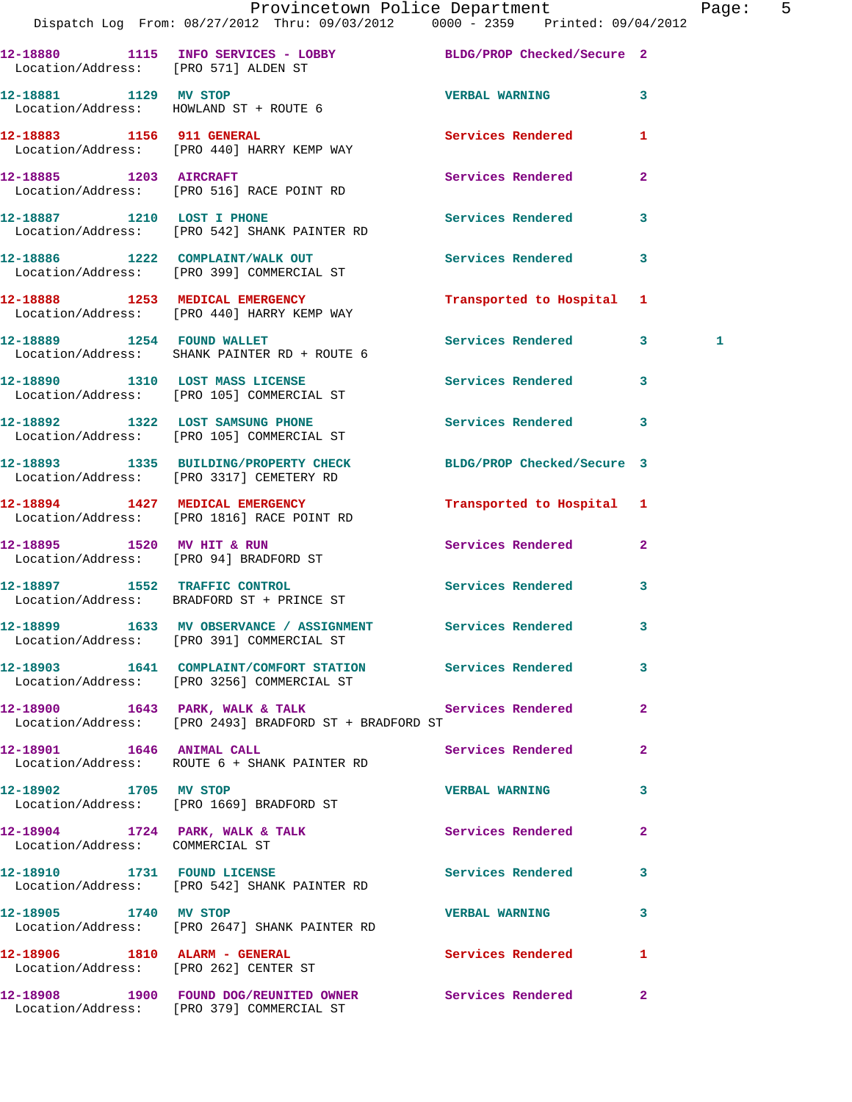|                                      | Provincetown Police Department<br>Dispatch Log From: 08/27/2012 Thru: 09/03/2012 0000 - 2359 Printed: 09/04/2012 |                           |                | Paqe:        | 5 |
|--------------------------------------|------------------------------------------------------------------------------------------------------------------|---------------------------|----------------|--------------|---|
| Location/Address: [PRO 571] ALDEN ST | 12-18880 1115 INFO SERVICES - LOBBY BLDG/PROP Checked/Secure 2                                                   |                           |                |              |   |
|                                      | 12-18881 1129 MV STOP<br>Location/Address: HOWLAND ST + ROUTE 6                                                  | <b>VERBAL WARNING</b>     | $\mathbf{3}$   |              |   |
|                                      | 12-18883 1156 911 GENERAL<br>Location/Address: [PRO 440] HARRY KEMP WAY                                          | Services Rendered 1       |                |              |   |
| 12-18885 1203 AIRCRAFT               | Location/Address: [PRO 516] RACE POINT RD                                                                        | Services Rendered         | $\overline{2}$ |              |   |
| 12-18887 1210 LOST I PHONE           | Location/Address: [PRO 542] SHANK PAINTER RD                                                                     | Services Rendered 3       |                |              |   |
|                                      | 12-18886 1222 COMPLAINT/WALK OUT<br>Location/Address: [PRO 399] COMMERCIAL ST                                    | Services Rendered 3       |                |              |   |
|                                      | 12-18888 1253 MEDICAL EMERGENCY<br>Location/Address: [PRO 440] HARRY KEMP WAY                                    | Transported to Hospital 1 |                |              |   |
|                                      | 12-18889 1254 FOUND WALLET<br>Location/Address: SHANK PAINTER RD + ROUTE 6                                       | Services Rendered 3       |                | $\mathbf{1}$ |   |
|                                      | 12-18890 1310 LOST MASS LICENSE 1 Services Rendered 3<br>Location/Address: [PRO 105] COMMERCIAL ST               |                           |                |              |   |
|                                      | 12-18892 1322 LOST SAMSUNG PHONE<br>Location/Address: [PRO 105] COMMERCIAL ST                                    | Services Rendered 3       |                |              |   |
|                                      | 12-18893 1335 BUILDING/PROPERTY CHECK BLDG/PROP Checked/Secure 3<br>Location/Address: [PRO 3317] CEMETERY RD     |                           |                |              |   |
|                                      | 12-18894 1427 MEDICAL EMERGENCY<br>Location/Address: [PRO 1816] RACE POINT RD                                    | Transported to Hospital 1 |                |              |   |
|                                      | 12-18895 1520 MV HIT & RUN<br>Location/Address: [PRO 94] BRADFORD ST                                             | Services Rendered 2       |                |              |   |
|                                      | 12-18897 1552 TRAFFIC CONTROL<br>Location/Address: BRADFORD ST + PRINCE ST                                       | Services Rendered 3       |                |              |   |
|                                      | 12-18899 1633 MV OBSERVANCE / ASSIGNMENT Services Rendered 3<br>Location/Address: [PRO 391] COMMERCIAL ST        |                           |                |              |   |
|                                      | 12-18903 1641 COMPLAINT/COMFORT STATION Services Rendered 3<br>Location/Address: [PRO 3256] COMMERCIAL ST        |                           |                |              |   |

Location/Address: [PRO 2493] BRADFORD ST + BRADFORD ST

Location/Address: COMMERCIAL ST

Location/Address: [PRO 2647] SHANK PAINTER RD

Location/Address: [PRO 379] COMMERCIAL ST

Location/Address: [PRO 542] SHANK PAINTER RD

**12-18905 1740 MV STOP VERBAL WARNING 3** 

**12-18906 1810 ALARM - GENERAL Services Rendered 1** 

12-18900 1643 PARK, WALK & TALK Services Rendered 2

Location/Address: ROUTE 6 + SHANK PAINTER RD

**12-18902 1705 MV STOP VERBAL WARNING 3**  Location/Address: [PRO 1669] BRADFORD ST

12-18904 1724 PARK, WALK & TALK **Services Rendered** 2

**12-18910 1731 FOUND LICENSE Services Rendered 3** 

Location/Address: [PRO 262] CENTER ST

**12-18908 1900 FOUND DOG/REUNITED OWNER Services Rendered 2** 

12-18901 1646 ANIMAL CALL Services Rendered 2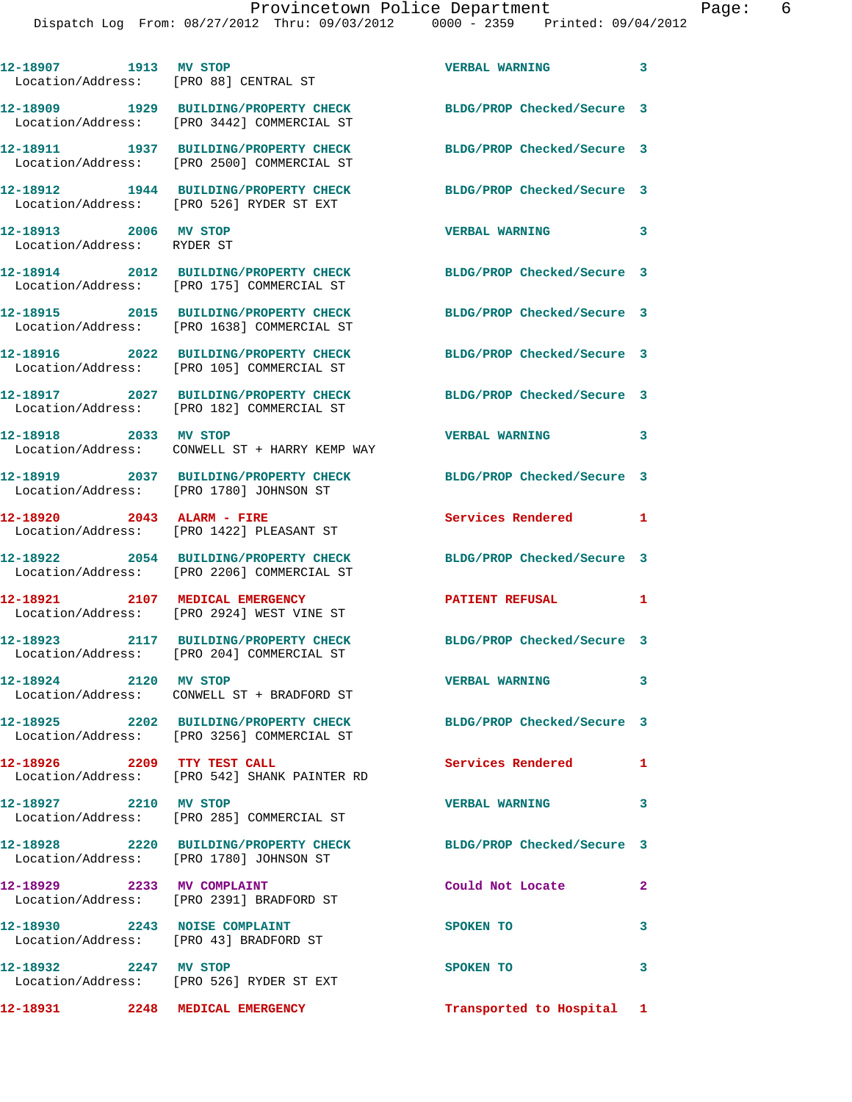| 12-18907 1913 MV STOP                               | Location/Address: [PRO 88] CENTRAL ST                                                                          | VERBAL WARNING 3           |              |
|-----------------------------------------------------|----------------------------------------------------------------------------------------------------------------|----------------------------|--------------|
|                                                     | 12-18909 1929 BUILDING/PROPERTY CHECK<br>Location/Address: [PRO 3442] COMMERCIAL ST                            | BLDG/PROP Checked/Secure 3 |              |
|                                                     | 12-18911 1937 BUILDING/PROPERTY CHECK<br>Location/Address: [PRO 2500] COMMERCIAL ST                            | BLDG/PROP Checked/Secure 3 |              |
|                                                     | 12-18912 1944 BUILDING/PROPERTY CHECK<br>Location/Address: [PRO 526] RYDER ST EXT                              | BLDG/PROP Checked/Secure 3 |              |
| 12-18913 2006 MV STOP<br>Location/Address: RYDER ST |                                                                                                                | <b>VERBAL WARNING</b>      | 3            |
|                                                     | 12-18914 2012 BUILDING/PROPERTY CHECK<br>Location/Address: [PRO 175] COMMERCIAL ST                             | BLDG/PROP Checked/Secure 3 |              |
|                                                     | 12-18915 2015 BUILDING/PROPERTY CHECK<br>Location/Address: [PRO 1638] COMMERCIAL ST                            | BLDG/PROP Checked/Secure 3 |              |
|                                                     | 12-18916 2022 BUILDING/PROPERTY CHECK<br>Location/Address: [PRO 105] COMMERCIAL ST                             | BLDG/PROP Checked/Secure 3 |              |
|                                                     | 12-18917 2027 BUILDING/PROPERTY CHECK<br>Location/Address: [PRO 182] COMMERCIAL ST                             | BLDG/PROP Checked/Secure 3 |              |
| 12-18918 2033 MV STOP                               | Location/Address: CONWELL ST + HARRY KEMP WAY                                                                  | VERBAL WARNING 3           |              |
|                                                     | 12-18919 2037 BUILDING/PROPERTY CHECK<br>Location/Address: [PRO 1780] JOHNSON ST                               | BLDG/PROP Checked/Secure 3 |              |
| 12-18920 2043 ALARM - FIRE                          | Location/Address: [PRO 1422] PLEASANT ST                                                                       | Services Rendered 1        |              |
|                                                     | 12-18922 2054 BUILDING/PROPERTY CHECK<br>Location/Address: [PRO 2206] COMMERCIAL ST                            | BLDG/PROP Checked/Secure 3 |              |
| 12-18921 2107 MEDICAL EMERGENCY                     | Location/Address: [PRO 2924] WEST VINE ST                                                                      | <b>PATIENT REFUSAL</b>     | 1            |
|                                                     | 12-18923 2117 BUILDING/PROPERTY CHECK<br>Location/Address: [PRO 204] COMMERCIAL ST                             | BLDG/PROP Checked/Secure 3 |              |
| 12-18924 2120 MV STOP                               | Location/Address: CONWELL ST + BRADFORD ST                                                                     | <b>VERBAL WARNING</b>      | $\mathbf{3}$ |
|                                                     | 12-18925 2202 BUILDING/PROPERTY CHECK BLDG/PROP Checked/Secure 3<br>Location/Address: [PRO 3256] COMMERCIAL ST |                            |              |
| 12-18926 2209 TTY TEST CALL                         | Location/Address: [PRO 542] SHANK PAINTER RD                                                                   | <b>Services Rendered</b>   | 1            |
| 12-18927 2210 MV STOP                               | Location/Address: [PRO 285] COMMERCIAL ST                                                                      | <b>VERBAL WARNING</b>      | 3            |
|                                                     | 12-18928 2220 BUILDING/PROPERTY CHECK<br>Location/Address: [PRO 1780] JOHNSON ST                               | BLDG/PROP Checked/Secure 3 |              |
|                                                     | 12-18929 2233 MV COMPLAINT<br>Location/Address: [PRO 2391] BRADFORD ST                                         | Could Not Locate           | $\mathbf{2}$ |
| 12-18930 2243 NOISE COMPLAINT                       | Location/Address: [PRO 43] BRADFORD ST                                                                         | SPOKEN TO                  | $\mathbf{3}$ |
| 12-18932 2247 MV STOP                               | Location/Address: [PRO 526] RYDER ST EXT                                                                       | SPOKEN TO                  | 3            |
|                                                     | 12-18931 2248 MEDICAL EMERGENCY                                                                                | Transported to Hospital 1  |              |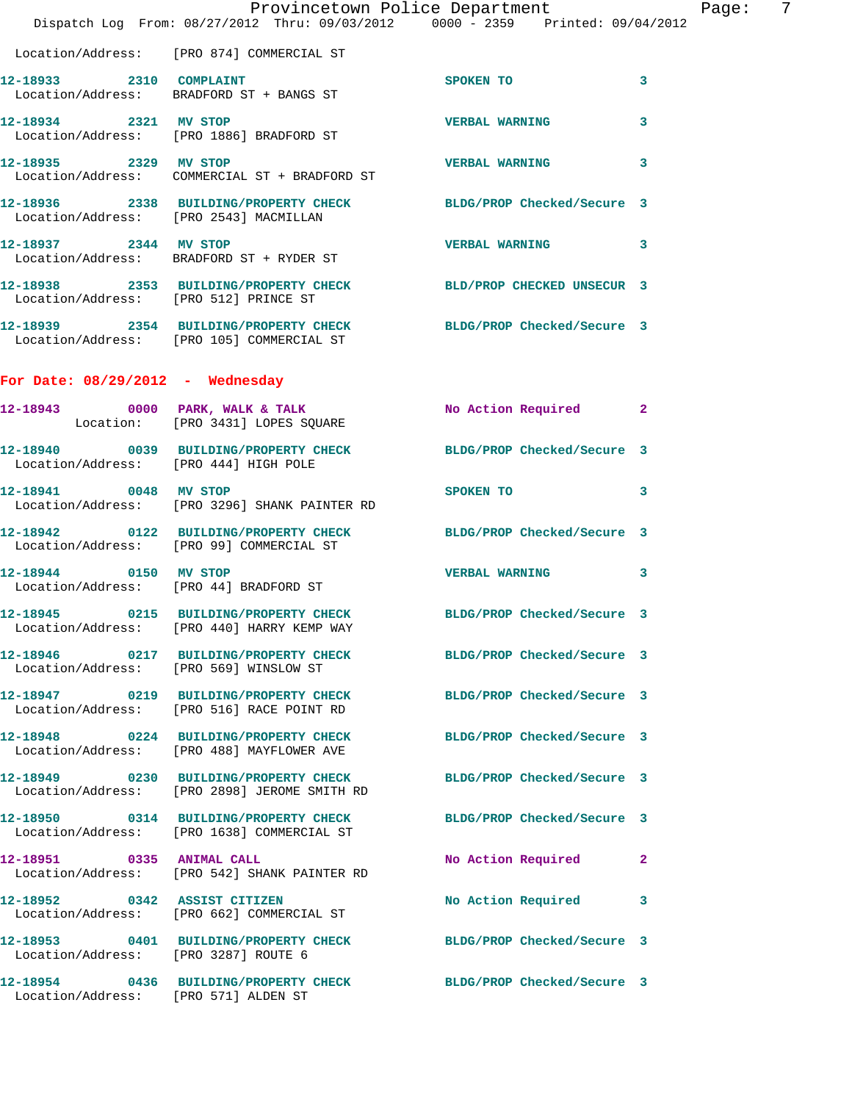|                                        | Dispatch Log From: 08/27/2012 Thru: 09/03/2012 0000 - 2359 Printed: 09/04/2012                                   | Provincetown Police Department       | Page: 7      |
|----------------------------------------|------------------------------------------------------------------------------------------------------------------|--------------------------------------|--------------|
|                                        | Location/Address: [PRO 874] COMMERCIAL ST                                                                        |                                      |              |
|                                        | 12-18933 2310 COMPLAINT<br>Location/Address: BRADFORD ST + BANGS ST                                              | SPOKEN TO                            | $\mathbf{3}$ |
| 12-18934 2321 MV STOP                  | Location/Address: [PRO 1886] BRADFORD ST                                                                         | <b>VERBAL WARNING</b>                | $\mathbf{3}$ |
|                                        | 12-18935 2329 MV STOP<br>Location/Address: COMMERCIAL ST + BRADFORD ST                                           | <b>VERBAL WARNING</b>                | 3            |
| Location/Address: [PRO 2543] MACMILLAN | 12-18936 2338 BUILDING/PROPERTY CHECK BLDG/PROP Checked/Secure 3                                                 |                                      |              |
| 12-18937 2344 MV STOP                  | Location/Address: BRADFORD ST + RYDER ST                                                                         | VERBAL WARNING 3                     |              |
| Location/Address: [PRO 512] PRINCE ST  | 12-18938 2353 BUILDING/PROPERTY CHECK BLD/PROP CHECKED UNSECUR 3                                                 |                                      |              |
|                                        | 12-18939 2354 BUILDING/PROPERTY CHECK BLDG/PROP Checked/Secure 3<br>Location/Address: [PRO 105] COMMERCIAL ST    |                                      |              |
| For Date: 08/29/2012 - Wednesday       |                                                                                                                  |                                      |              |
|                                        | 12-18943 0000 PARK, WALK & TALK<br>Location: [PRO 3431] LOPES SQUARE                                             | No Action Required 2                 |              |
| Location/Address: [PRO 444] HIGH POLE  | 12-18940 0039 BUILDING/PROPERTY CHECK BLDG/PROP Checked/Secure 3                                                 |                                      |              |
| 12-18941 0048 MV STOP                  | Location/Address: [PRO 3296] SHANK PAINTER RD                                                                    | SPOKEN TO THE STATE OF THE SPOKEN TO | 3            |
|                                        | 12-18942 0122 BUILDING/PROPERTY CHECK BLDG/PROP Checked/Secure 3<br>Location/Address: [PRO 99] COMMERCIAL ST     |                                      |              |
| 12-18944 0150 MV STOP                  | Location/Address: [PRO 44] BRADFORD ST                                                                           | VERBAL WARNING 3                     |              |
|                                        | 12-18945 0215 BUILDING/PROPERTY CHECK BLDG/PROP Checked/Secure 3<br>Location/Address: [PRO 440] HARRY KEMP WAY   |                                      |              |
|                                        | 12-18946 0217 BUILDING/PROPERTY CHECK BLDG/PROP Checked/Secure 3<br>Location/Address: [PRO 569] WINSLOW ST       |                                      |              |
|                                        | 12-18947 0219 BUILDING/PROPERTY CHECK BLDG/PROP Checked/Secure 3<br>Location/Address: [PRO 516] RACE POINT RD    |                                      |              |
|                                        | 12-18948 0224 BUILDING/PROPERTY CHECK BLDG/PROP Checked/Secure 3<br>Location/Address: [PRO 488] MAYFLOWER AVE    |                                      |              |
|                                        | 12-18949 0230 BUILDING/PROPERTY CHECK BLDG/PROP Checked/Secure 3<br>Location/Address: [PRO 2898] JEROME SMITH RD |                                      |              |
|                                        | 12-18950 0314 BUILDING/PROPERTY CHECK BLDG/PROP Checked/Secure 3<br>Location/Address: [PRO 1638] COMMERCIAL ST   |                                      |              |
|                                        | 12-18951 0335 ANIMAL CALL<br>Location/Address: [PRO 542] SHANK PAINTER RD                                        | No Action Required 2                 |              |
|                                        | 12-18952 0342 ASSIST CITIZEN<br>Location/Address: [PRO 662] COMMERCIAL ST                                        | No Action Required 3                 |              |
| Location/Address: [PRO 3287] ROUTE 6   | 12-18953 0401 BUILDING/PROPERTY CHECK BLDG/PROP Checked/Secure 3                                                 |                                      |              |
| Location/Address: [PRO 571] ALDEN ST   | 12-18954 0436 BUILDING/PROPERTY CHECK BLDG/PROP Checked/Secure 3                                                 |                                      |              |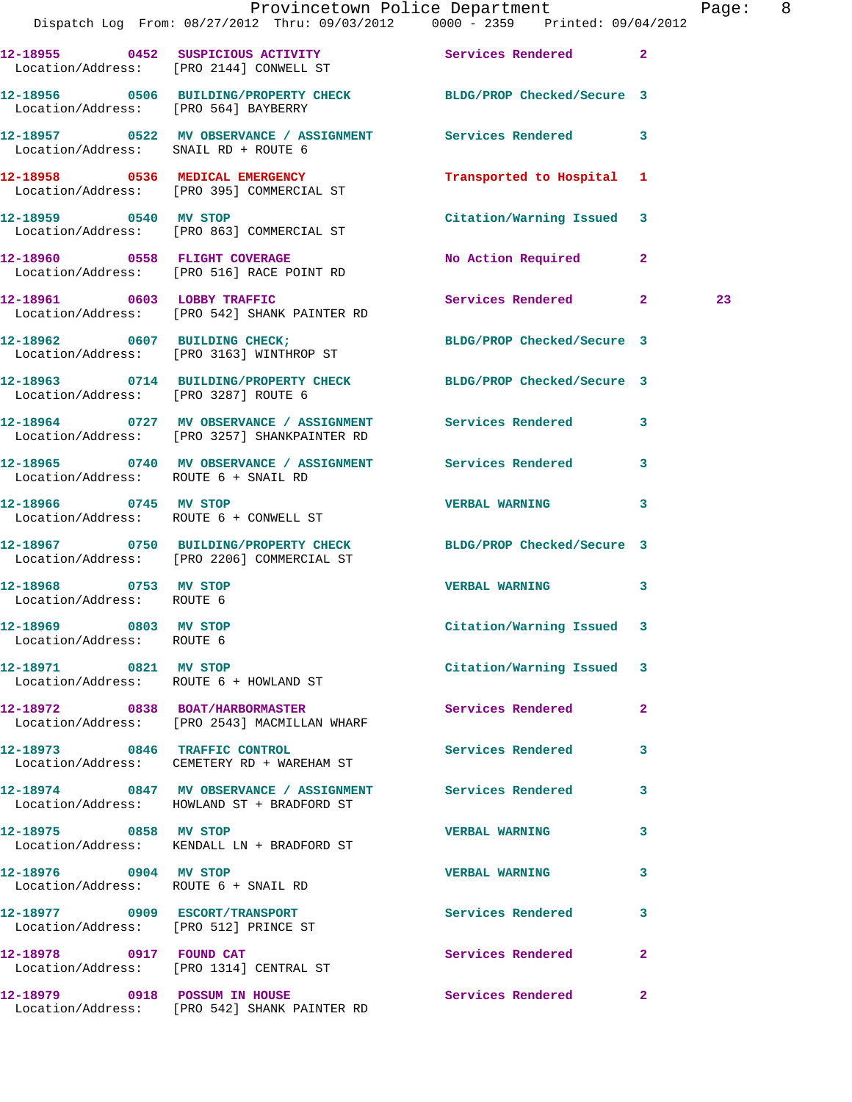|                                                    | Dispatch Log From: 08/27/2012 Thru: 09/03/2012 0000 - 2359 Printed: 09/04/2012                                 | Provincetown Police Department Page: 8 |              |    |  |
|----------------------------------------------------|----------------------------------------------------------------------------------------------------------------|----------------------------------------|--------------|----|--|
|                                                    | 12-18955 0452 SUSPICIOUS ACTIVITY Services Rendered 2<br>Location/Address: [PRO 2144] CONWELL ST               |                                        |              |    |  |
|                                                    | 12-18956 0506 BUILDING/PROPERTY CHECK BLDG/PROP Checked/Secure 3<br>Location/Address: [PRO 564] BAYBERRY       |                                        |              |    |  |
|                                                    | 12-18957 0522 MV OBSERVANCE / ASSIGNMENT Services Rendered 3<br>Location/Address: SNAIL RD + ROUTE 6           |                                        |              |    |  |
|                                                    | 12-18958 0536 MEDICAL EMERGENCY<br>Location/Address: [PRO 395] COMMERCIAL ST                                   | Transported to Hospital 1              |              |    |  |
|                                                    | 12-18959 0540 MV STOP<br>Location/Address: [PRO 863] COMMERCIAL ST                                             | Citation/Warning Issued 3              |              |    |  |
|                                                    | 12-18960 0558 FLIGHT COVERAGE<br>Location/Address: [PRO 516] RACE POINT RD                                     | No Action Required 2                   |              |    |  |
|                                                    | 12-18961 0603 LOBBY TRAFFIC<br>Location/Address: [PRO 542] SHANK PAINTER RD                                    | Services Rendered 2                    |              | 23 |  |
|                                                    | 12-18962 0607 BUILDING CHECK;<br>Location/Address: [PRO 3163] WINTHROP ST                                      | BLDG/PROP Checked/Secure 3             |              |    |  |
|                                                    | 12-18963 0714 BUILDING/PROPERTY CHECK BLDG/PROP Checked/Secure 3<br>Location/Address: [PRO 3287] ROUTE 6       |                                        |              |    |  |
|                                                    | 12-18964 0727 MV OBSERVANCE / ASSIGNMENT Services Rendered 3<br>Location/Address: [PRO 3257] SHANKPAINTER RD   |                                        |              |    |  |
| Location/Address: ROUTE 6 + SNAIL RD               | 12-18965 0740 MV OBSERVANCE / ASSIGNMENT Services Rendered 3                                                   |                                        |              |    |  |
|                                                    | 12-18966 0745 MV STOP<br>Location/Address: ROUTE 6 + CONWELL ST                                                | <b>VERBAL WARNING</b>                  | 3            |    |  |
|                                                    | 12-18967 0750 BUILDING/PROPERTY CHECK BLDG/PROP Checked/Secure 3<br>Location/Address: [PRO 2206] COMMERCIAL ST |                                        |              |    |  |
| 12-18968 0753 MV STOP<br>Location/Address: ROUTE 6 |                                                                                                                | <b>VERBAL WARNING</b>                  | 3            |    |  |
| 12-18969 0803 MV STOP<br>Location/Address: ROUTE 6 |                                                                                                                | Citation/Warning Issued 3              |              |    |  |
| 12-18971 0821 MV STOP                              | Location/Address: ROUTE 6 + HOWLAND ST                                                                         | Citation/Warning Issued 3              |              |    |  |
|                                                    | 12-18972 0838 BOAT/HARBORMASTER<br>Location/Address: [PRO 2543] MACMILLAN WHARF                                | Services Rendered                      | $\mathbf{2}$ |    |  |
|                                                    | 12-18973 0846 TRAFFIC CONTROL<br>Location/Address: CEMETERY RD + WAREHAM ST                                    | Services Rendered                      | 3            |    |  |
|                                                    | 12-18974 0847 MV OBSERVANCE / ASSIGNMENT Services Rendered 3<br>Location/Address: HOWLAND ST + BRADFORD ST     |                                        |              |    |  |
| 12-18975 0858 MV STOP                              | Location/Address: KENDALL LN + BRADFORD ST                                                                     | <b>VERBAL WARNING</b>                  | 3            |    |  |
| 12-18976 0904 MV STOP                              | Location/Address: ROUTE 6 + SNAIL RD                                                                           | VERBAL WARNING 3                       |              |    |  |
| Location/Address: [PRO 512] PRINCE ST              | 12-18977 0909 ESCORT/TRANSPORT                                                                                 | Services Rendered                      | 3            |    |  |
| 12-18978 0917 FOUND CAT                            | Location/Address: [PRO 1314] CENTRAL ST                                                                        | Services Rendered 2                    |              |    |  |
|                                                    | 12-18979 0918 POSSUM IN HOUSE<br>Location/Address: [PRO 542] SHANK PAINTER RD                                  | Services Rendered                      | $\mathbf{2}$ |    |  |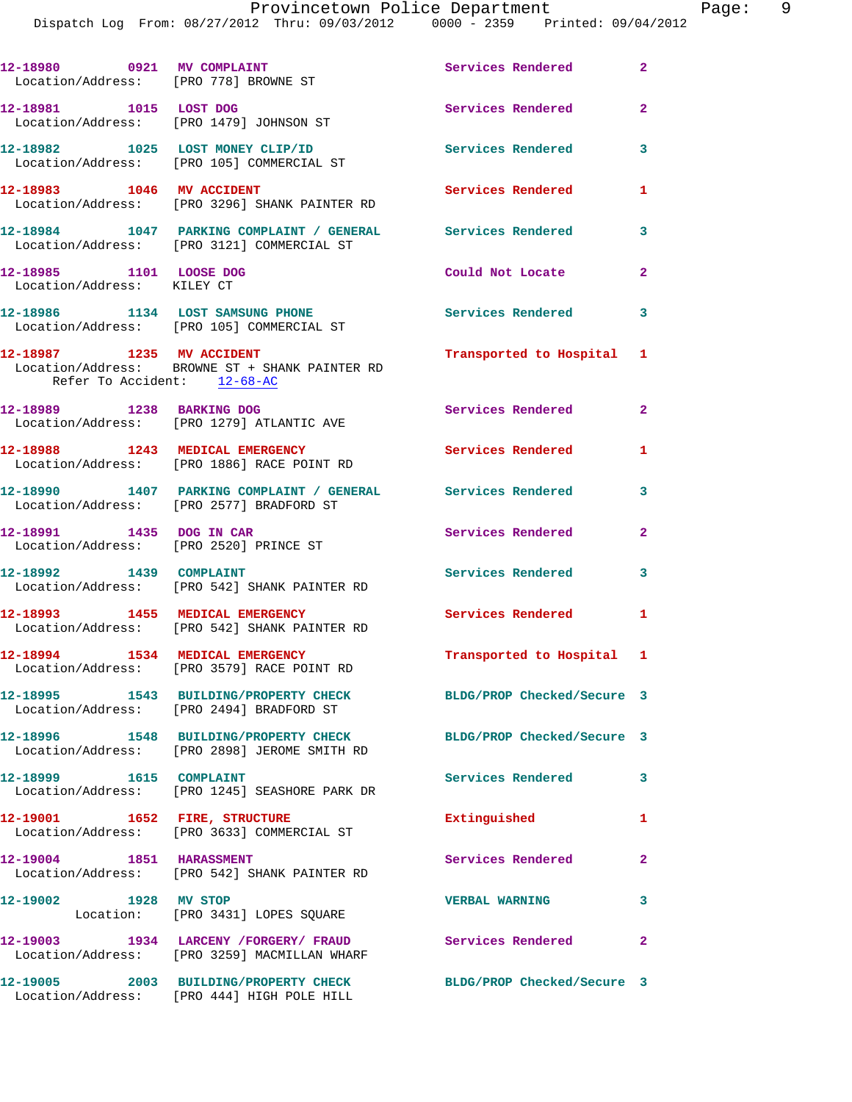| 12-18980 0921 MV COMPLAINT<br>Location/Address: [PRO 778] BROWNE ST |                                                                                                           | Services Rendered          | $\mathbf{2}$               |
|---------------------------------------------------------------------|-----------------------------------------------------------------------------------------------------------|----------------------------|----------------------------|
| 12-18981 1015 LOST DOG                                              | Location/Address: [PRO 1479] JOHNSON ST                                                                   | Services Rendered          | $\mathbf{2}$               |
|                                                                     | 12-18982 1025 LOST MONEY CLIP/ID<br>Location/Address: [PRO 105] COMMERCIAL ST                             | <b>Services Rendered</b>   | 3                          |
| 12-18983 1046 MV ACCIDENT                                           | Location/Address: [PRO 3296] SHANK PAINTER RD                                                             | Services Rendered          | $\mathbf{1}$               |
|                                                                     | 12-18984 1047 PARKING COMPLAINT / GENERAL Services Rendered<br>Location/Address: [PRO 3121] COMMERCIAL ST |                            | 3                          |
| 12-18985 1101 LOOSE DOG<br>Location/Address: KILEY CT               |                                                                                                           | Could Not Locate           | $\overline{2}$             |
|                                                                     | 12-18986 1134 LOST SAMSUNG PHONE<br>Location/Address: [PRO 105] COMMERCIAL ST                             | <b>Services Rendered</b>   | $\overline{\phantom{a}}$ 3 |
| 12-18987 1235 MV ACCIDENT<br>Refer To Accident: 12-68-AC            | Location/Address: BROWNE ST + SHANK PAINTER RD                                                            | Transported to Hospital 1  |                            |
| 12-18989 1238 BARKING DOG                                           | Location/Address: [PRO 1279] ATLANTIC AVE                                                                 | Services Rendered 2        |                            |
|                                                                     | 12-18988 1243 MEDICAL EMERGENCY<br>Location/Address: [PRO 1886] RACE POINT RD                             | Services Rendered          | 1                          |
|                                                                     | 12-18990 1407 PARKING COMPLAINT / GENERAL Services Rendered<br>Location/Address: [PRO 2577] BRADFORD ST   |                            | 3                          |
| 12-18991 1435 DOG IN CAR                                            | Location/Address: [PRO 2520] PRINCE ST                                                                    | Services Rendered          | $\mathbf{2}$               |
| 12-18992 1439 COMPLAINT                                             | Location/Address: [PRO 542] SHANK PAINTER RD                                                              | Services Rendered          | 3                          |
|                                                                     | 12-18993 1455 MEDICAL EMERGENCY<br>Location/Address: [PRO 542] SHANK PAINTER RD                           | Services Rendered 1        |                            |
|                                                                     | 12-18994 1534 MEDICAL EMERGENCY<br>Location/Address: [PRO 3579] RACE POINT RD                             | Transported to Hospital 1  |                            |
|                                                                     | 12-18995 1543 BUILDING/PROPERTY CHECK<br>Location/Address: [PRO 2494] BRADFORD ST                         | BLDG/PROP Checked/Secure 3 |                            |
|                                                                     | 12-18996 1548 BUILDING/PROPERTY CHECK<br>Location/Address: [PRO 2898] JEROME SMITH RD                     | BLDG/PROP Checked/Secure 3 |                            |
| 12-18999 1615 COMPLAINT                                             | Location/Address: [PRO 1245] SEASHORE PARK DR                                                             | Services Rendered          | 3                          |
| 12-19001                                                            | 1652 FIRE, STRUCTURE<br>Location/Address: [PRO 3633] COMMERCIAL ST                                        | Extinguished               | $\mathbf{1}$               |
| 12-19004 1851 HARASSMENT                                            | Location/Address: [PRO 542] SHANK PAINTER RD                                                              | Services Rendered          | $\mathbf{2}$               |
| 12-19002 1928 MV STOP                                               | Location: [PRO 3431] LOPES SQUARE                                                                         | <b>VERBAL WARNING</b>      | 3                          |
|                                                                     | 12-19003 1934 LARCENY /FORGERY/ FRAUD<br>Location/Address: [PRO 3259] MACMILLAN WHARF                     | <b>Services Rendered</b>   | $\mathbf{2}$               |
|                                                                     | 12-19005 2003 BUILDING/PROPERTY CHECK<br>Location/Address: [PRO 444] HIGH POLE HILL                       | BLDG/PROP Checked/Secure 3 |                            |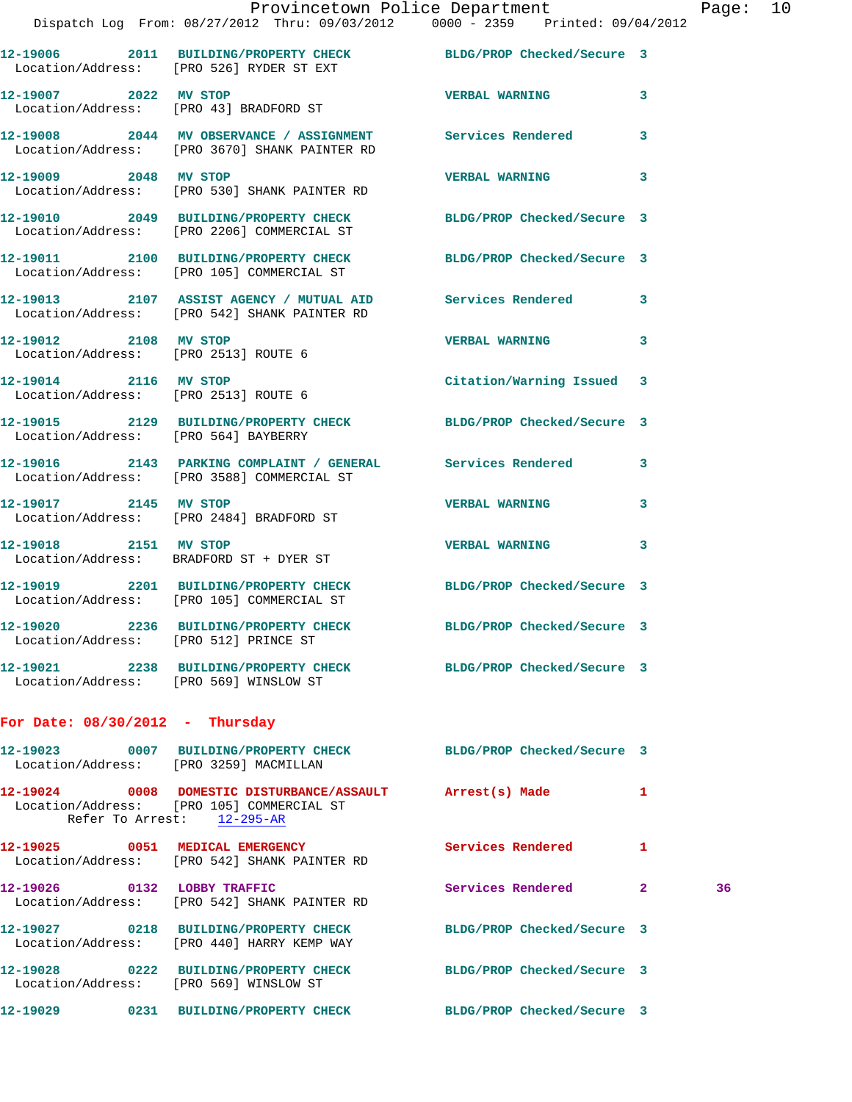|                                                               | Provincetown Police Department<br>Dispatch Log From: 08/27/2012 Thru: 09/03/2012 0000 - 2359 Printed: 09/04/2012                     |                            |              | Page |
|---------------------------------------------------------------|--------------------------------------------------------------------------------------------------------------------------------------|----------------------------|--------------|------|
|                                                               | 12-19006 2011 BUILDING/PROPERTY CHECK BLDG/PROP Checked/Secure 3<br>Location/Address: [PRO 526] RYDER ST EXT                         |                            |              |      |
|                                                               | 12-19007 2022 MV STOP<br>Location/Address: [PRO 43] BRADFORD ST                                                                      | <b>VERBAL WARNING</b>      | 3            |      |
|                                                               | 12-19008 2044 MV OBSERVANCE / ASSIGNMENT Services Rendered 3<br>Location/Address: [PRO 3670] SHANK PAINTER RD                        |                            |              |      |
| 12-19009 2048 MV STOP                                         | Location/Address: [PRO 530] SHANK PAINTER RD                                                                                         | <b>VERBAL WARNING</b>      | 3            |      |
|                                                               | 12-19010 2049 BUILDING/PROPERTY CHECK BLDG/PROP Checked/Secure 3<br>Location/Address: [PRO 2206] COMMERCIAL ST                       |                            |              |      |
|                                                               | 12-19011 2100 BUILDING/PROPERTY CHECK BLDG/PROP Checked/Secure 3<br>Location/Address: [PRO 105] COMMERCIAL ST                        |                            |              |      |
|                                                               | 12-19013 2107 ASSIST AGENCY / MUTUAL AID Services Rendered 3<br>Location/Address: [PRO 542] SHANK PAINTER RD                         |                            |              |      |
| 12-19012 2108 MV STOP<br>Location/Address: [PRO 2513] ROUTE 6 |                                                                                                                                      | <b>VERBAL WARNING</b>      | 3            |      |
| 12-19014 2116 MV STOP                                         | Location/Address: [PRO 2513] ROUTE 6                                                                                                 | Citation/Warning Issued 3  |              |      |
| Location/Address: [PRO 564] BAYBERRY                          | 12-19015 2129 BUILDING/PROPERTY CHECK BLDG/PROP Checked/Secure 3                                                                     |                            |              |      |
|                                                               | 12-19016 2143 PARKING COMPLAINT / GENERAL Services Rendered<br>Location/Address: [PRO 3588] COMMERCIAL ST                            |                            | 3            |      |
|                                                               | 12-19017 2145 MV STOP<br>Location/Address: [PRO 2484] BRADFORD ST                                                                    | <b>VERBAL WARNING</b>      | 3            |      |
| 12-19018 2151 MV STOP                                         | Location/Address: BRADFORD ST + DYER ST                                                                                              | <b>VERBAL WARNING</b>      | 3            |      |
|                                                               | 12-19019 2201 BUILDING/PROPERTY CHECK BLDG/PROP Checked/Secure 3<br>Location/Address: [PRO 105] COMMERCIAL ST                        |                            |              |      |
| Location/Address: [PRO 512] PRINCE ST                         | 12-19020 2236 BUILDING/PROPERTY CHECK                                                                                                | BLDG/PROP Checked/Secure 3 |              |      |
| Location/Address: [PRO 569] WINSLOW ST                        | 12-19021 2238 BUILDING/PROPERTY CHECK BLDG/PROP Checked/Secure 3                                                                     |                            |              |      |
| For Date: $08/30/2012$ - Thursday                             |                                                                                                                                      |                            |              |      |
| Location/Address: [PRO 3259] MACMILLAN                        | 12-19023 0007 BUILDING/PROPERTY CHECK BLDG/PROP Checked/Secure 3                                                                     |                            |              |      |
|                                                               | 12-19024 0008 DOMESTIC DISTURBANCE/ASSAULT Arrest(s) Made<br>Location/Address: [PRO 105] COMMERCIAL ST<br>Refer To Arrest: 12-295-AR |                            | $\mathbf{1}$ |      |
|                                                               | 12-19025 0051 MEDICAL EMERGENCY<br>Location/Address: [PRO 542] SHANK PAINTER RD                                                      | <b>Services Rendered</b>   | 1            |      |
| 12-19026 0132 LOBBY TRAFFIC                                   | Location/Address: [PRO 542] SHANK PAINTER RD                                                                                         | Services Rendered          | $\mathbf{2}$ | 36   |
|                                                               | 12-19027 0218 BUILDING/PROPERTY CHECK BLDG/PROP Checked/Secure 3                                                                     |                            |              |      |

Location/Address: [PRO 440] HARRY KEMP WAY

Location/Address: [PRO 569] WINSLOW ST

**12-19028 0222 BUILDING/PROPERTY CHECK BLDG/PROP Checked/Secure 3** 

**12-19029 0231 BUILDING/PROPERTY CHECK BLDG/PROP Checked/Secure 3** 

age: 10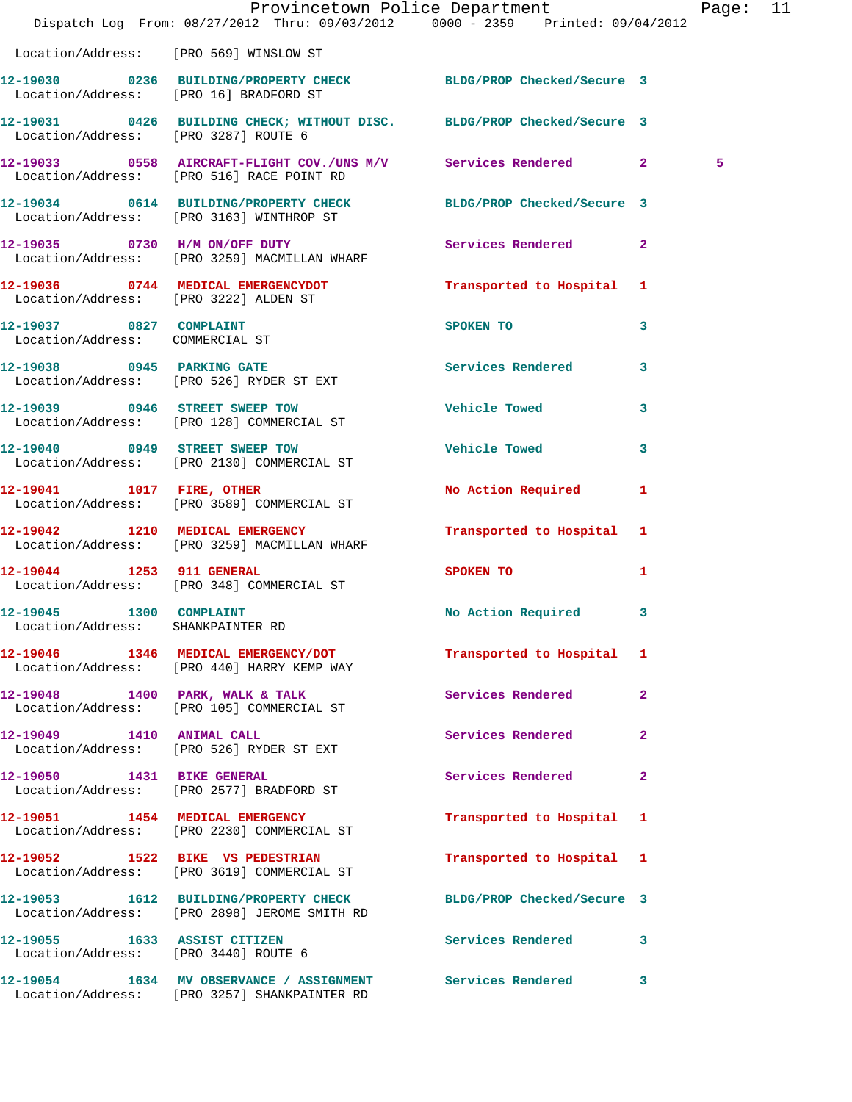|                                                                      | Dispatch Log From: 08/27/2012 Thru: 09/03/2012 0000 - 2359 Printed: 09/04/2012                               | Provincetown Police Department |                         | Page: 11 |  |
|----------------------------------------------------------------------|--------------------------------------------------------------------------------------------------------------|--------------------------------|-------------------------|----------|--|
| Location/Address: [PRO 569] WINSLOW ST                               |                                                                                                              |                                |                         |          |  |
| Location/Address: [PRO 16] BRADFORD ST                               | 12-19030 0236 BUILDING/PROPERTY CHECK BLDG/PROP Checked/Secure 3                                             |                                |                         |          |  |
| Location/Address: [PRO 3287] ROUTE 6                                 | 12-19031 0426 BUILDING CHECK; WITHOUT DISC. BLDG/PROP Checked/Secure 3                                       |                                |                         |          |  |
|                                                                      | 12-19033 0558 AIRCRAFT-FLIGHT COV./UNS M/V Services Rendered 2<br>Location/Address: [PRO 516] RACE POINT RD  |                                |                         | 5        |  |
|                                                                      | 12-19034 0614 BUILDING/PROPERTY CHECK BLDG/PROP Checked/Secure 3<br>Location/Address: [PRO 3163] WINTHROP ST |                                |                         |          |  |
|                                                                      | 12-19035 0730 H/M ON/OFF DUTY<br>Location/Address: [PRO 3259] MACMILLAN WHARF                                | Services Rendered 2            |                         |          |  |
| Location/Address: [PRO 3222] ALDEN ST                                | 12-19036 0744 MEDICAL EMERGENCYDOT                                                                           | Transported to Hospital 1      |                         |          |  |
| 12-19037 0827 COMPLAINT<br>Location/Address: COMMERCIAL ST           |                                                                                                              | SPOKEN TO                      | $\mathbf{3}$            |          |  |
|                                                                      | 12-19038 0945 PARKING GATE<br>Location/Address: [PRO 526] RYDER ST EXT                                       | Services Rendered 3            |                         |          |  |
|                                                                      | 12-19039 0946 STREET SWEEP TOW<br>Location/Address: [PRO 128] COMMERCIAL ST                                  | <b>Vehicle Towed</b>           | 3                       |          |  |
|                                                                      | 12-19040 0949 STREET SWEEP TOW<br>Location/Address: [PRO 2130] COMMERCIAL ST                                 | Vehicle Towed                  | $\overline{\mathbf{3}}$ |          |  |
|                                                                      | 12-19041 1017 FIRE, OTHER<br>Location/Address: [PRO 3589] COMMERCIAL ST                                      | No Action Required 1           |                         |          |  |
|                                                                      | 12-19042 1210 MEDICAL EMERGENCY<br>Location/Address: [PRO 3259] MACMILLAN WHARF                              | Transported to Hospital 1      |                         |          |  |
| 12-19044 1253 911 GENERAL                                            | Location/Address: [PRO 348] COMMERCIAL ST                                                                    | SPOKEN TO AND THE SPOKEN TO    | $\mathbf{1}$            |          |  |
| 12-19045 1300 COMPLAINT<br>Location/Address: SHANKPAINTER RD         |                                                                                                              | No Action Required 3           |                         |          |  |
|                                                                      | 12-19046 1346 MEDICAL EMERGENCY/DOT<br>Location/Address: [PRO 440] HARRY KEMP WAY                            | Transported to Hospital 1      |                         |          |  |
|                                                                      | 12-19048 1400 PARK, WALK & TALK<br>Location/Address: [PRO 105] COMMERCIAL ST                                 | Services Rendered              | $\mathbf{2}$            |          |  |
|                                                                      | 12-19049   1410   ANIMAL CALL<br>Location/Address: [PRO 526] RYDER ST EXT                                    | Services Rendered              | $\mathbf{2}$            |          |  |
|                                                                      | 12-19050 1431 BIKE GENERAL<br>Location/Address: [PRO 2577] BRADFORD ST                                       | Services Rendered              | $\mathbf{2}$            |          |  |
|                                                                      | 12-19051 1454 MEDICAL EMERGENCY<br>Location/Address: [PRO 2230] COMMERCIAL ST                                | Transported to Hospital 1      |                         |          |  |
|                                                                      | 12-19052 1522 BIKE VS PEDESTRIAN<br>Location/Address: [PRO 3619] COMMERCIAL ST                               | Transported to Hospital 1      |                         |          |  |
|                                                                      | 12-19053 1612 BUILDING/PROPERTY CHECK<br>Location/Address: [PRO 2898] JEROME SMITH RD                        | BLDG/PROP Checked/Secure 3     |                         |          |  |
| 12-19055 1633 ASSIST CITIZEN<br>Location/Address: [PRO 3440] ROUTE 6 |                                                                                                              | Services Rendered 3            |                         |          |  |
|                                                                      | 12-19054 1634 MV OBSERVANCE / ASSIGNMENT Services Rendered<br>Location/Address: [PRO 3257] SHANKPAINTER RD   |                                | $\mathbf{3}$            |          |  |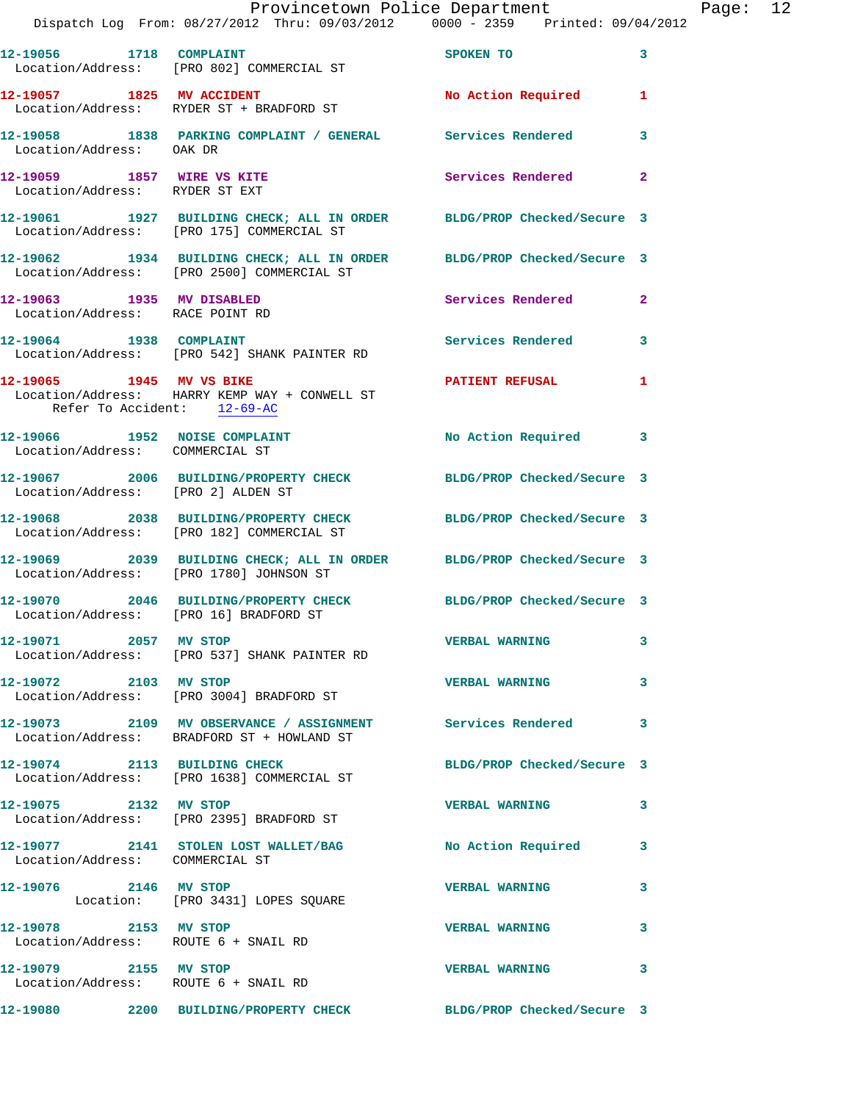|                                                               |                                                                                                                     | Provincetown Police Department<br>Dispatch Log From: 08/27/2012 Thru: 09/03/2012 0000 - 2359 Printed: 09/04/2012 | Page: 12 |
|---------------------------------------------------------------|---------------------------------------------------------------------------------------------------------------------|------------------------------------------------------------------------------------------------------------------|----------|
|                                                               | 12-19056 1718 COMPLAINT<br>Location/Address: [PRO 802] COMMERCIAL ST                                                | SPOKEN TO 3                                                                                                      |          |
|                                                               | 12-19057 1825 MV ACCIDENT 12-19057 No Action Required 1<br>Location/Address: RYDER ST + BRADFORD ST                 |                                                                                                                  |          |
|                                                               | 12-19058 1838 PARKING COMPLAINT / GENERAL Services Rendered<br>Location/Address: OAK DR                             | $\mathbf{3}$                                                                                                     |          |
| 12-19059 1857 WIRE VS KITE<br>Location/Address: RYDER ST EXT  |                                                                                                                     | Services Rendered 2                                                                                              |          |
|                                                               | 12-19061 1927 BUILDING CHECK; ALL IN ORDER BLDG/PROP Checked/Secure 3<br>Location/Address: [PRO 175] COMMERCIAL ST  |                                                                                                                  |          |
|                                                               | 12-19062 1934 BUILDING CHECK; ALL IN ORDER BLDG/PROP Checked/Secure 3<br>Location/Address: [PRO 2500] COMMERCIAL ST |                                                                                                                  |          |
| 12-19063 1935 MV DISABLED                                     | Location/Address: RACE POINT RD                                                                                     | Services Rendered 2                                                                                              |          |
|                                                               | 12-19064 1938 COMPLAINT<br>Location/Address: [PRO 542] SHANK PAINTER RD                                             | Services Rendered 3                                                                                              |          |
| Refer To Accident: 12-69-AC                                   | 12-19065 1945 MV VS BIKE<br>Location/Address: HARRY KEMP WAY + CONWELL ST                                           | <b>PATIENT REFUSAL 1</b>                                                                                         |          |
| Location/Address: COMMERCIAL ST                               | 12-19066 1952 NOISE COMPLAINT No Action Required 3                                                                  |                                                                                                                  |          |
| Location/Address: [PRO 2] ALDEN ST                            | 12-19067 2006 BUILDING/PROPERTY CHECK BLDG/PROP Checked/Secure 3                                                    |                                                                                                                  |          |
|                                                               | 12-19068 2038 BUILDING/PROPERTY CHECK BLDG/PROP Checked/Secure 3<br>Location/Address: [PRO 182] COMMERCIAL ST       |                                                                                                                  |          |
|                                                               | 12-19069 2039 BUILDING CHECK; ALL IN ORDER BLDG/PROP Checked/Secure 3<br>Location/Address: [PRO 1780] JOHNSON ST    |                                                                                                                  |          |
| Location/Address: [PRO 16] BRADFORD ST                        | 12-19070 2046 BUILDING/PROPERTY CHECK BLDG/PROP Checked/Secure 3                                                    |                                                                                                                  |          |
| 12-19071 2057 MV STOP                                         | Location/Address: [PRO 537] SHANK PAINTER RD                                                                        | <b>VERBAL WARNING</b><br>3                                                                                       |          |
| 12-19072 2103 MV STOP                                         | Location/Address: [PRO 3004] BRADFORD ST                                                                            | <b>VERBAL WARNING</b><br>3                                                                                       |          |
|                                                               | 12-19073 2109 MV OBSERVANCE / ASSIGNMENT Services Rendered 3<br>Location/Address: BRADFORD ST + HOWLAND ST          |                                                                                                                  |          |
|                                                               | 12-19074 2113 BUILDING CHECK<br>Location/Address: [PRO 1638] COMMERCIAL ST                                          | BLDG/PROP Checked/Secure 3                                                                                       |          |
| 12-19075 2132 MV STOP                                         | Location/Address: [PRO 2395] BRADFORD ST                                                                            | VERBAL WARNING 3                                                                                                 |          |
| Location/Address: COMMERCIAL ST                               | 12-19077 2141 STOLEN LOST WALLET/BAG No Action Required 3                                                           |                                                                                                                  |          |
| 12-19076 2146 MV STOP                                         | Location: [PRO 3431] LOPES SQUARE                                                                                   | <b>VERBAL WARNING</b><br>3                                                                                       |          |
| 12-19078 2153 MV STOP<br>Location/Address: ROUTE 6 + SNAIL RD |                                                                                                                     | <b>VERBAL WARNING</b><br>3                                                                                       |          |
| 12-19079 2155 MV STOP                                         | Location/Address: ROUTE 6 + SNAIL RD                                                                                | <b>VERBAL WARNING</b><br>3                                                                                       |          |
|                                                               | 12-19080 2200 BUILDING/PROPERTY CHECK BLDG/PROP Checked/Secure 3                                                    |                                                                                                                  |          |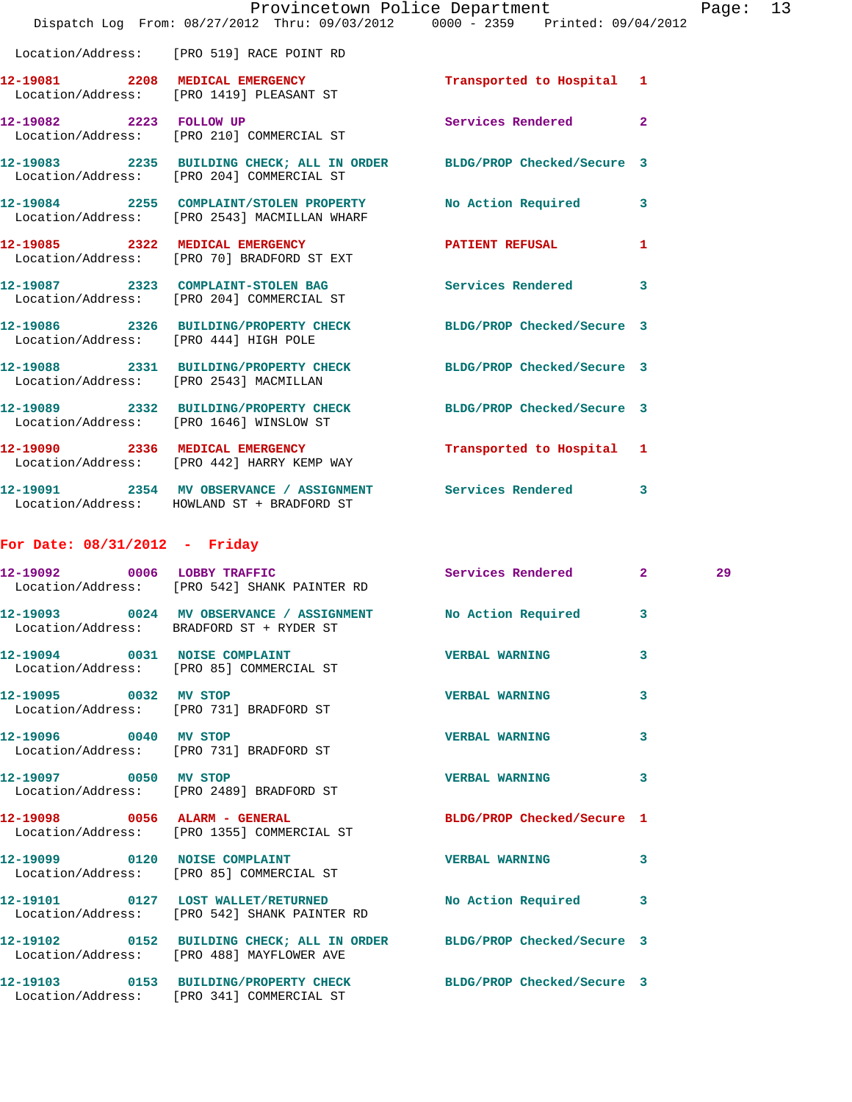|                                 |                                                                                                                    | Provincetown Police Department |   | Page: 13 |  |
|---------------------------------|--------------------------------------------------------------------------------------------------------------------|--------------------------------|---|----------|--|
|                                 | Dispatch Log From: 08/27/2012 Thru: 09/03/2012 0000 - 2359 Printed: 09/04/2012                                     |                                |   |          |  |
|                                 | Location/Address: [PRO 519] RACE POINT RD                                                                          |                                |   |          |  |
|                                 | 12-19081 2208 MEDICAL EMERGENCY Transported to Hospital 1<br>Location/Address: [PRO 1419] PLEASANT ST              |                                |   |          |  |
|                                 | 12-19082 2223 FOLLOW UP<br>Location/Address: [PRO 210] COMMERCIAL ST                                               | Services Rendered 2            |   |          |  |
|                                 | 12-19083 2235 BUILDING CHECK; ALL IN ORDER BLDG/PROP Checked/Secure 3<br>Location/Address: [PRO 204] COMMERCIAL ST |                                |   |          |  |
|                                 | 12-19084 2255 COMPLAINT/STOLEN PROPERTY<br>Location/Address: [PRO 2543] MACMILLAN WHARF                            | No Action Required 3           |   |          |  |
|                                 | 12-19085 2322 MEDICAL EMERGENCY PATIENT REFUSAL 1<br>Location/Address: [PRO 70] BRADFORD ST EXT                    |                                |   |          |  |
|                                 | 12-19087 2323 COMPLAINT-STOLEN BAG Services Rendered 3<br>Location/Address: [PRO 204] COMMERCIAL ST                |                                |   |          |  |
|                                 | 12-19086 2326 BUILDING/PROPERTY CHECK BLDG/PROP Checked/Secure 3<br>Location/Address: [PRO 444] HIGH POLE          |                                |   |          |  |
|                                 | 12-19088 2331 BUILDING/PROPERTY CHECK BLDG/PROP Checked/Secure 3<br>Location/Address: [PRO 2543] MACMILLAN         |                                |   |          |  |
|                                 | 12-19089 2332 BUILDING/PROPERTY CHECK BLDG/PROP Checked/Secure 3<br>Location/Address: [PRO 1646] WINSLOW ST        |                                |   |          |  |
|                                 | 12-19090 2336 MEDICAL EMERGENCY Transported to Hospital 1<br>Location/Address: [PRO 442] HARRY KEMP WAY            |                                |   |          |  |
|                                 | 12-19091 2354 MV OBSERVANCE / ASSIGNMENT Services Rendered 3<br>Location/Address: HOWLAND ST + BRADFORD ST         |                                |   |          |  |
| For Date: $08/31/2012$ - Friday |                                                                                                                    |                                |   |          |  |
|                                 | 12-19092 0006 LOBBY TRAFFIC<br>Location/Address: [PRO 542] SHANK PAINTER RD                                        | Services Rendered 2            |   | 29       |  |
|                                 | 12-19093 0024 MV OBSERVANCE / ASSIGNMENT No Action Required 3<br>Location/Address: BRADFORD ST + RYDER ST          |                                |   |          |  |
|                                 | 12-19094 0031 NOISE COMPLAINT<br>Location/Address: [PRO 85] COMMERCIAL ST                                          | <b>VERBAL WARNING</b>          | 3 |          |  |
| 12-19095 0032 MV STOP           | Location/Address: [PRO 731] BRADFORD ST                                                                            | <b>VERBAL WARNING</b>          | 3 |          |  |
| 12-19096 0040 MV STOP           | Location/Address: [PRO 731] BRADFORD ST                                                                            | <b>VERBAL WARNING</b>          | 3 |          |  |
| 12-19097 0050 MV STOP           | Location/Address: [PRO 2489] BRADFORD ST                                                                           | VERBAL WARNING 3               |   |          |  |
|                                 | 12-19098 0056 ALARM - GENERAL<br>Location/Address: [PRO 1355] COMMERCIAL ST                                        | BLDG/PROP Checked/Secure 1     |   |          |  |
|                                 | 12-19099 0120 NOISE COMPLAINT<br>Location/Address: [PRO 85] COMMERCIAL ST                                          | VERBAL WARNING 3               |   |          |  |
|                                 | 12-19101 0127 LOST WALLET/RETURNED No Action Required 3<br>Location/Address: [PRO 542] SHANK PAINTER RD            |                                |   |          |  |
|                                 | 12-19102 0152 BUILDING CHECK; ALL IN ORDER BLDG/PROP Checked/Secure 3<br>Location/Address: [PRO 488] MAYFLOWER AVE |                                |   |          |  |
|                                 | 12-19103 0153 BUILDING/PROPERTY CHECK BLDG/PROP Checked/Secure 3<br>Location/Address: [PRO 341] COMMERCIAL ST      |                                |   |          |  |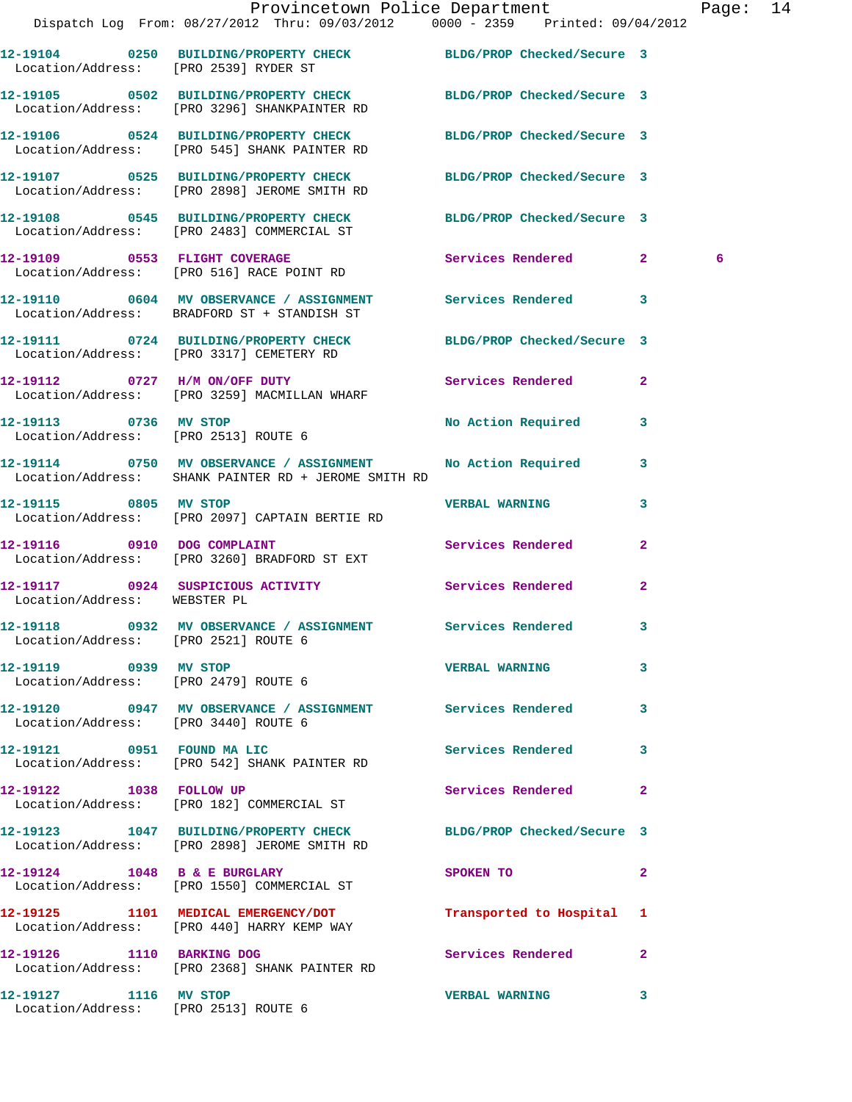|                                                               | Provincetown Police Department<br>Dispatch Log From: 08/27/2012 Thru: 09/03/2012 0000 - 2359 Printed: 09/04/2012 |                           |                         | Page: 14 |  |
|---------------------------------------------------------------|------------------------------------------------------------------------------------------------------------------|---------------------------|-------------------------|----------|--|
|                                                               |                                                                                                                  |                           |                         |          |  |
|                                                               | 12-19104 0250 BUILDING/PROPERTY CHECK BLDG/PROP Checked/Secure 3<br>Location/Address: [PRO 2539] RYDER ST        |                           |                         |          |  |
|                                                               | 12-19105 0502 BUILDING/PROPERTY CHECK BLDG/PROP Checked/Secure 3<br>Location/Address: [PRO 3296] SHANKPAINTER RD |                           |                         |          |  |
|                                                               | 12-19106 0524 BUILDING/PROPERTY CHECK BLDG/PROP Checked/Secure 3<br>Location/Address: [PRO 545] SHANK PAINTER RD |                           |                         |          |  |
|                                                               | 12-19107 0525 BUILDING/PROPERTY CHECK BLDG/PROP Checked/Secure 3<br>Location/Address: [PRO 2898] JEROME SMITH RD |                           |                         |          |  |
|                                                               | 12-19108 0545 BUILDING/PROPERTY CHECK BLDG/PROP Checked/Secure 3<br>Location/Address: [PRO 2483] COMMERCIAL ST   |                           |                         |          |  |
|                                                               | 12-19109 0553 FLIGHT COVERAGE<br>Location/Address: [PRO 516] RACE POINT RD                                       | Services Rendered 2       |                         | 6        |  |
|                                                               | 12-19110 0604 MV OBSERVANCE / ASSIGNMENT Services Rendered 3<br>Location/Address: BRADFORD ST + STANDISH ST      |                           |                         |          |  |
|                                                               | 12-19111 0724 BUILDING/PROPERTY CHECK BLDG/PROP Checked/Secure 3<br>Location/Address: [PRO 3317] CEMETERY RD     |                           |                         |          |  |
|                                                               | 12-19112 0727 H/M ON/OFF DUTY<br>Location/Address: [PRO 3259] MACMILLAN WHARF                                    | Services Rendered 2       |                         |          |  |
| 12-19113 0736 MV STOP<br>Location/Address: [PRO 2513] ROUTE 6 |                                                                                                                  | No Action Required        | $\overline{\mathbf{3}}$ |          |  |
|                                                               | 12-19114 0750 MV OBSERVANCE / ASSIGNMENT<br>Location/Address: SHANK PAINTER RD + JEROME SMITH RD                 | No Action Required 3      |                         |          |  |
|                                                               | 12-19115 0805 MV STOP<br>Location/Address: [PRO 2097] CAPTAIN BERTIE RD                                          | <b>VERBAL WARNING</b>     | 3                       |          |  |
| 12-19116 0910 DOG COMPLAINT                                   | Location/Address: [PRO 3260] BRADFORD ST EXT                                                                     | Services Rendered         | $\mathbf{2}$            |          |  |
| Location/Address: WEBSTER PL                                  | 12-19117 0924 SUSPICIOUS ACTIVITY Services Rendered                                                              |                           | $\mathbf{2}$            |          |  |
| Location/Address: [PRO 2521] ROUTE 6                          | 12-19118 0932 MV OBSERVANCE / ASSIGNMENT Services Rendered                                                       |                           |                         |          |  |
| 12-19119 0939 MV STOP<br>Location/Address: [PRO 2479] ROUTE 6 |                                                                                                                  | <b>VERBAL WARNING</b>     | $\mathbf{3}$            |          |  |
| Location/Address: [PRO 3440] ROUTE 6                          | 12-19120 0947 MV OBSERVANCE / ASSIGNMENT Services Rendered 3                                                     |                           |                         |          |  |
|                                                               | 12-19121 0951 FOUND MA LIC<br>Location/Address: [PRO 542] SHANK PAINTER RD                                       | Services Rendered         | 3                       |          |  |
| 12-19122 1038 FOLLOW UP                                       | Location/Address: [PRO 182] COMMERCIAL ST                                                                        | Services Rendered 2       |                         |          |  |
|                                                               | 12-19123 1047 BUILDING/PROPERTY CHECK BLDG/PROP Checked/Secure 3<br>Location/Address: [PRO 2898] JEROME SMITH RD |                           |                         |          |  |
| 12-19124 1048 B & E BURGLARY                                  | Location/Address: [PRO 1550] COMMERCIAL ST                                                                       | SPOKEN TO                 | $\mathbf{2}$            |          |  |
|                                                               | 12-19125 1101 MEDICAL EMERGENCY/DOT<br>Location/Address: [PRO 440] HARRY KEMP WAY                                | Transported to Hospital 1 |                         |          |  |
| 12-19126 1110 BARKING DOG                                     | Location/Address: [PRO 2368] SHANK PAINTER RD                                                                    | Services Rendered 2       |                         |          |  |
|                                                               |                                                                                                                  | <b>VERBAL WARNING</b>     | $\mathbf{3}$            |          |  |

Location/Address: [PRO 2513] ROUTE 6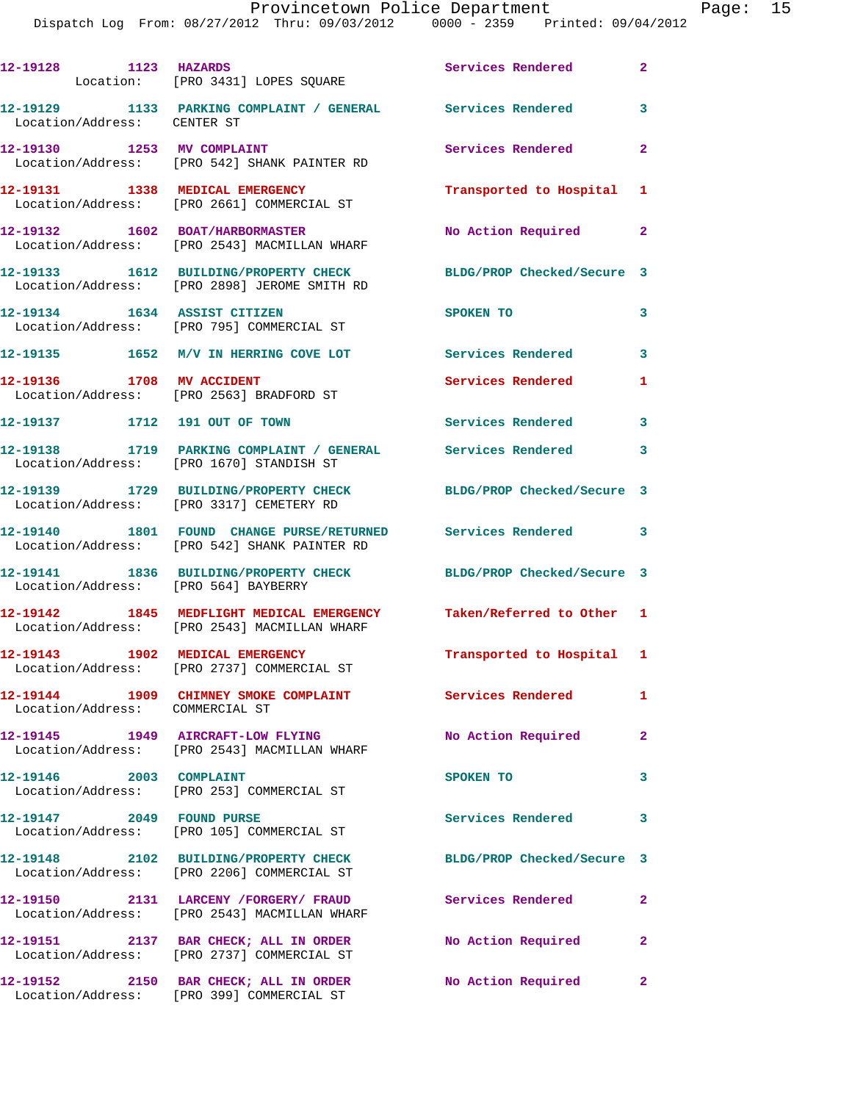| 12-19128 1123 HAZARDS                | Location: [PRO 3431] LOPES SQUARE                                                                                   | Services Rendered          | $\mathbf{2}$               |
|--------------------------------------|---------------------------------------------------------------------------------------------------------------------|----------------------------|----------------------------|
| Location/Address: CENTER ST          | 12-19129 1133 PARKING COMPLAINT / GENERAL Services Rendered 3                                                       |                            |                            |
|                                      | 12-19130 1253 MV COMPLAINT<br>  Location/Address: [PRO 542] SHANK PAINTER RD                                        | Services Rendered          | $\mathbf{2}$               |
| 12-19131 1338 MEDICAL EMERGENCY      | Location/Address: [PRO 2661] COMMERCIAL ST                                                                          | Transported to Hospital 1  |                            |
|                                      | 12-19132 1602 BOAT/HARBORMASTER<br>Location/Address: [PRO 2543] MACMILLAN WHARF                                     | No Action Required         | $\mathbf{2}$               |
|                                      | 12-19133 1612 BUILDING/PROPERTY CHECK<br>Location/Address: [PRO 2898] JEROME SMITH RD                               | BLDG/PROP Checked/Secure 3 |                            |
|                                      | 12-19134 1634 ASSIST CITIZEN<br>Location/Address: [PRO 795] COMMERCIAL ST                                           | SPOKEN TO                  | 3                          |
|                                      | 12-19135 1652 M/V IN HERRING COVE LOT Services Rendered 3                                                           |                            |                            |
| 12-19136 1708 MV ACCIDENT            | Location/Address: [PRO 2563] BRADFORD ST                                                                            | Services Rendered          | 1                          |
| 12-19137 1712 191 OUT OF TOWN        |                                                                                                                     | <b>Services Rendered</b>   | $\overline{\phantom{a}}$ 3 |
|                                      | 12-19138 1719 PARKING COMPLAINT / GENERAL Services Rendered<br>Location/Address: [PRO 1670] STANDISH ST             |                            | 3                          |
|                                      | 12-19139 1729 BUILDING/PROPERTY CHECK BLDG/PROP Checked/Secure 3<br>Location/Address: [PRO 3317] CEMETERY RD        |                            |                            |
|                                      | 12-19140 1801 FOUND CHANGE PURSE/RETURNED Services Rendered 3<br>Location/Address: [PRO 542] SHANK PAINTER RD       |                            |                            |
| Location/Address: [PRO 564] BAYBERRY | 12-19141 1836 BUILDING/PROPERTY CHECK                                                                               | BLDG/PROP Checked/Secure 3 |                            |
|                                      | 12-19142 1845 MEDFLIGHT MEDICAL EMERGENCY Taken/Referred to Other 1<br>Location/Address: [PRO 2543] MACMILLAN WHARF |                            |                            |
|                                      | 12-19143 1902 MEDICAL EMERGENCY<br>Location/Address: [PRO 2737] COMMERCIAL ST                                       | Transported to Hospital 1  |                            |
| Location/Address: COMMERCIAL ST      | 12-19144 1909 CHIMNEY SMOKE COMPLAINT                                                                               | <b>Services Rendered</b>   | $\mathbf{1}$               |
|                                      | 12-19145 1949 AIRCRAFT-LOW FLYING<br>Location/Address: [PRO 2543] MACMILLAN WHARF                                   | No Action Required         | $\mathbf{2}$               |
| 12-19146 2003 COMPLAINT              | Location/Address: [PRO 253] COMMERCIAL ST                                                                           | SPOKEN TO                  | 3                          |
| 12-19147 2049 FOUND PURSE            | Location/Address: [PRO 105] COMMERCIAL ST                                                                           | Services Rendered          | 3                          |
|                                      | 12-19148 2102 BUILDING/PROPERTY CHECK<br>Location/Address: [PRO 2206] COMMERCIAL ST                                 | BLDG/PROP Checked/Secure 3 |                            |
|                                      | 12-19150 2131 LARCENY / FORGERY / FRAUD<br>Location/Address: [PRO 2543] MACMILLAN WHARF                             | Services Rendered          | $\mathbf{2}$               |
|                                      | 12-19151 2137 BAR CHECK; ALL IN ORDER<br>Location/Address: [PRO 2737] COMMERCIAL ST                                 | No Action Required         | $\mathbf{2}$               |
|                                      | 12-19152 2150 BAR CHECK; ALL IN ORDER<br>Location/Address: [PRO 399] COMMERCIAL ST                                  | <b>No Action Required</b>  | $\mathbf{2}$               |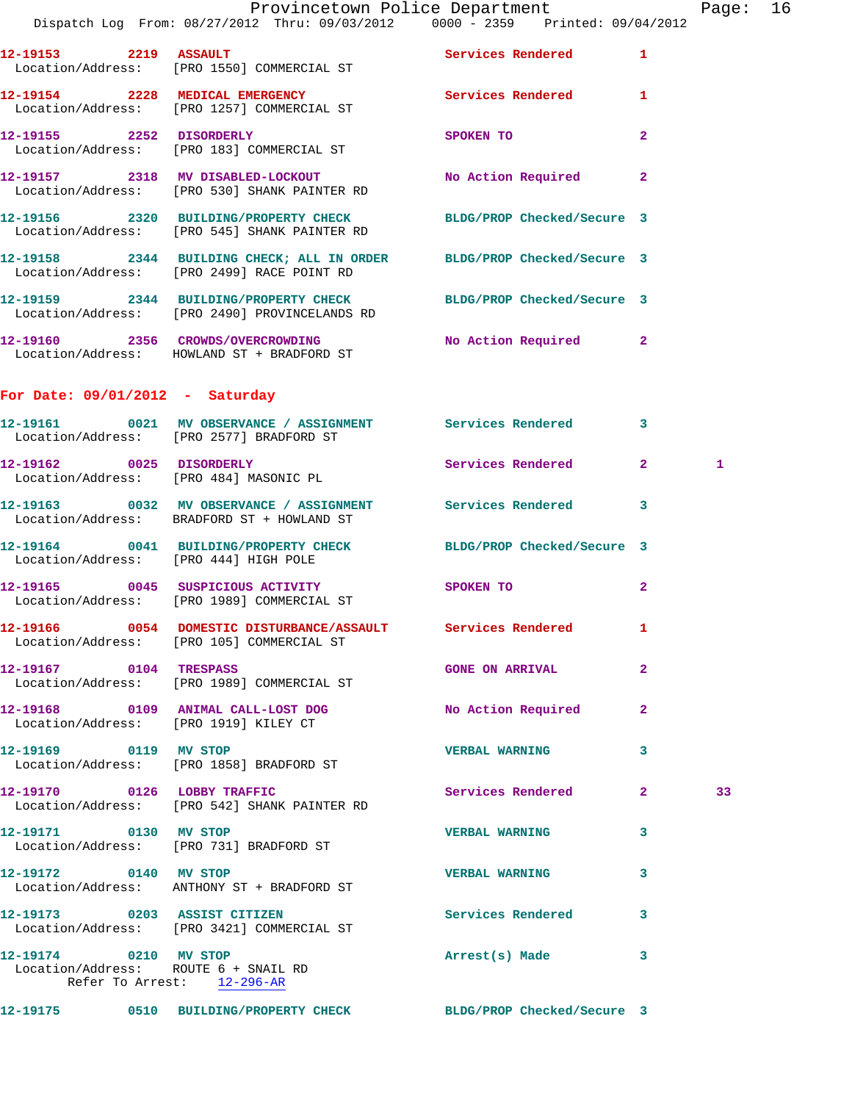| 10.10154 |      |                |                                                                                | Access and the Common Service of the Common Service of the Common Service of the Common Service of the Common Service of the Common Service of the Common Service of the Common Service of the Common Service of the Common Se |       |
|----------|------|----------------|--------------------------------------------------------------------------------|--------------------------------------------------------------------------------------------------------------------------------------------------------------------------------------------------------------------------------|-------|
| 12-19153 | 2219 | <b>ASSAULT</b> | Location/Address: [PRO 1550] COMMERCIAL ST                                     | Services Rendered                                                                                                                                                                                                              |       |
|          |      |                | Dispatch Log From: 08/27/2012 Thru: 09/03/2012 0000 - 2359 Printed: 09/04/2012 |                                                                                                                                                                                                                                |       |
|          |      |                | PLOVINCELOWN POILCE DEPALLMENT                                                 |                                                                                                                                                                                                                                | raye. |

|                                                               | Location/Address: [PRO 1550] COMMERCIAL ST                                                                          |                            |                |    |
|---------------------------------------------------------------|---------------------------------------------------------------------------------------------------------------------|----------------------------|----------------|----|
|                                                               | 12-19154 2228 MEDICAL EMERGENCY<br>Location/Address: [PRO 1257] COMMERCIAL ST                                       | Services Rendered 1        |                |    |
|                                                               | 12-19155 2252 DISORDERLY<br>Location/Address: [PRO 183] COMMERCIAL ST                                               | <b>SPOKEN TO</b>           | $\overline{2}$ |    |
|                                                               | 12-19157 2318 MV DISABLED-LOCKOUT<br>Location/Address: [PRO 530] SHANK PAINTER RD                                   | No Action Required 2       |                |    |
|                                                               | 12-19156 2320 BUILDING/PROPERTY CHECK BLDG/PROP Checked/Secure 3<br>Location/Address: [PRO 545] SHANK PAINTER RD    |                            |                |    |
|                                                               | 12-19158 2344 BUILDING CHECK; ALL IN ORDER BLDG/PROP Checked/Secure 3<br>Location/Address: [PRO 2499] RACE POINT RD |                            |                |    |
|                                                               | 12-19159 2344 BUILDING/PROPERTY CHECK BLDG/PROP Checked/Secure 3<br>Location/Address: [PRO 2490] PROVINCELANDS RD   |                            |                |    |
|                                                               | 12-19160 2356 CROWDS/OVERCROWDING No Action Required 2<br>Location/Address: HOWLAND ST + BRADFORD ST                |                            |                |    |
| For Date: $09/01/2012 - Saturday$                             |                                                                                                                     |                            |                |    |
|                                                               | 12-19161 0021 MV OBSERVANCE / ASSIGNMENT Services Rendered 3<br>Location/Address: [PRO 2577] BRADFORD ST            |                            |                |    |
| 12-19162 0025 DISORDERLY                                      | Location/Address: [PRO 484] MASONIC PL                                                                              | Services Rendered 2        |                | 1  |
|                                                               | 12-19163 0032 MV OBSERVANCE / ASSIGNMENT Services Rendered<br>Location/Address: BRADFORD ST + HOWLAND ST            |                            | 3              |    |
| Location/Address: [PRO 444] HIGH POLE                         | 12-19164 0041 BUILDING/PROPERTY CHECK BLDG/PROP Checked/Secure 3                                                    |                            |                |    |
|                                                               | 12-19165 0045 SUSPICIOUS ACTIVITY<br>Location/Address: [PRO 1989] COMMERCIAL ST                                     | SPOKEN TO                  | $\mathbf{2}$   |    |
|                                                               | 12-19166 0054 DOMESTIC DISTURBANCE/ASSAULT Services Rendered 1<br>Location/Address: [PRO 105] COMMERCIAL ST         |                            |                |    |
| 12-19167 0104 TRESPASS                                        | Location/Address: [PRO 1989] COMMERCIAL ST                                                                          | <b>GONE ON ARRIVAL</b>     | $\mathbf{2}$   |    |
| Location/Address: [PRO 1919] KILEY CT                         | 12-19168 0109 ANIMAL CALL-LOST DOG                                                                                  | No Action Required         | 2              |    |
| 12-19169 0119 MV STOP                                         | Location/Address: [PRO 1858] BRADFORD ST                                                                            | <b>VERBAL WARNING</b>      | 3              |    |
|                                                               | 12-19170 0126 LOBBY TRAFFIC<br>Location/Address: [PRO 542] SHANK PAINTER RD                                         | Services Rendered          | 2              | 33 |
| 12-19171 0130 MV STOP                                         | Location/Address: [PRO 731] BRADFORD ST                                                                             | <b>VERBAL WARNING</b>      | 3              |    |
| 12-19172 0140 MV STOP                                         | Location/Address: ANTHONY ST + BRADFORD ST                                                                          | <b>VERBAL WARNING</b>      | 3              |    |
| 12-19173 0203 ASSIST CITIZEN                                  | Location/Address: [PRO 3421] COMMERCIAL ST                                                                          | Services Rendered          | 3              |    |
| 12-19174 0210 MV STOP<br>Location/Address: ROUTE 6 + SNAIL RD | Refer To Arrest: 12-296-AR                                                                                          | Arrest(s) Made             | 3              |    |
|                                                               | 12-19175 0510 BUILDING/PROPERTY CHECK                                                                               | BLDG/PROP Checked/Secure 3 |                |    |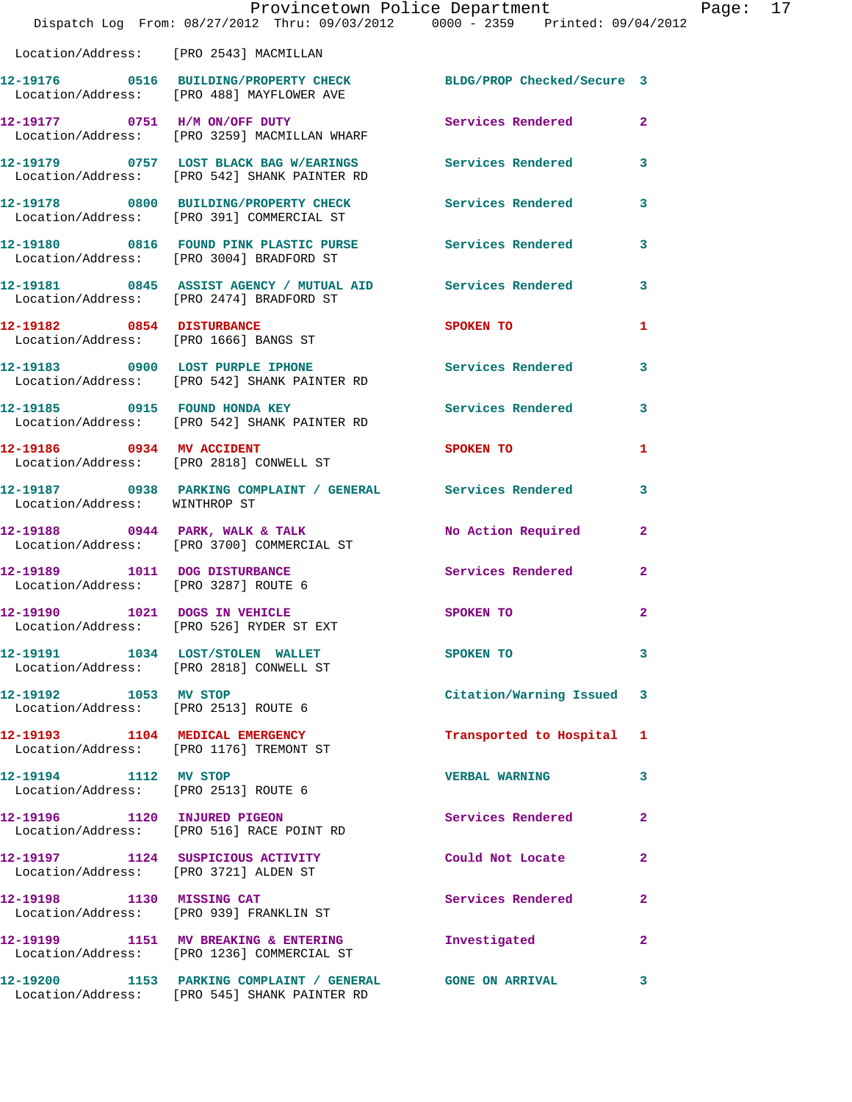|                                                               | Provincetown Police Department<br>Dispatch Log From: 08/27/2012 Thru: 09/03/2012 0000 - 2359 Printed: 09/04/2012 |                          |                |
|---------------------------------------------------------------|------------------------------------------------------------------------------------------------------------------|--------------------------|----------------|
| Location/Address: [PRO 2543] MACMILLAN                        |                                                                                                                  |                          |                |
|                                                               | 12-19176 0516 BUILDING/PROPERTY CHECK BLDG/PROP Checked/Secure 3<br>Location/Address: [PRO 488] MAYFLOWER AVE    |                          |                |
|                                                               | 12-19177 0751 H/M ON/OFF DUTY<br>Location/Address: [PRO 3259] MACMILLAN WHARF                                    | <b>Services Rendered</b> | $\mathbf{2}$   |
|                                                               | 12-19179 0757 LOST BLACK BAG W/EARINGS Services Rendered<br>Location/Address: [PRO 542] SHANK PAINTER RD         |                          | 3              |
|                                                               | 12-19178 0800 BUILDING/PROPERTY CHECK<br>Location/Address: [PRO 391] COMMERCIAL ST                               | <b>Services Rendered</b> | 3              |
|                                                               | 12-19180 0816 FOUND PINK PLASTIC PURSE Services Rendered<br>Location/Address: [PRO 3004] BRADFORD ST             |                          | 3              |
|                                                               | 12-19181 0845 ASSIST AGENCY / MUTUAL AID Services Rendered<br>Location/Address: [PRO 2474] BRADFORD ST           |                          | 3              |
|                                                               | 12-19182 0854 DISTURBANCE<br>Location/Address: [PRO 1666] BANGS ST                                               | SPOKEN TO                | 1              |
|                                                               | 12-19183 0900 LOST PURPLE IPHONE<br>Location/Address: [PRO 542] SHANK PAINTER RD                                 | Services Rendered        | 3              |
|                                                               | 12-19185 0915 FOUND HONDA KEY<br>Location/Address: [PRO 542] SHANK PAINTER RD                                    | <b>Services Rendered</b> | 3              |
| 12-19186 0934 MV ACCIDENT                                     | Location/Address: [PRO 2818] CONWELL ST                                                                          | SPOKEN TO                | 1              |
| Location/Address: WINTHROP ST                                 | 12-19187 0938 PARKING COMPLAINT / GENERAL Services Rendered                                                      |                          | 3              |
|                                                               | $12-19188$ 0944 PARK, WALK & TALK<br>Location/Address: [PRO 3700] COMMERCIAL ST                                  | No Action Required       | $\mathbf{2}$   |
| Location/Address: [PRO 3287] ROUTE 6                          | 12-19189 1011 DOG DISTURBANCE                                                                                    | Services Rendered        | $\overline{a}$ |
| 12-19190 1021 DOGS IN VEHICLE                                 | Location/Address: [PRO 526] RYDER ST EXT                                                                         | SPOKEN TO                |                |
|                                                               | 12-19191 1034 LOST/STOLEN WALLET<br>Location/Address: [PRO 2818] CONWELL ST                                      | <b>SPOKEN TO</b>         | 3              |
| 12-19192 1053 MV STOP<br>Location/Address: [PRO 2513] ROUTE 6 |                                                                                                                  | Citation/Warning Issued  | 3              |
|                                                               | 12-19193 1104 MEDICAL EMERGENCY<br>Location/Address: [PRO 1176] TREMONT ST                                       | Transported to Hospital  | 1              |
| 12-19194 1112 MV STOP<br>Location/Address: [PRO 2513] ROUTE 6 |                                                                                                                  | <b>VERBAL WARNING</b>    | 3              |
|                                                               | 12-19196 1120 INJURED PIGEON<br>Location/Address: [PRO 516] RACE POINT RD                                        | Services Rendered        | 2              |
| Location/Address: [PRO 3721] ALDEN ST                         | 12-19197 1124 SUSPICIOUS ACTIVITY                                                                                | Could Not Locate         | $\mathbf{2}$   |
|                                                               | 12-19198 1130 MISSING CAT<br>Location/Address: [PRO 939] FRANKLIN ST                                             | Services Rendered        | 2              |
|                                                               | 12-19199 1151 MV BREAKING & ENTERING<br>Location/Address: [PRO 1236] COMMERCIAL ST                               | Investigated             | 2              |
|                                                               | 12-19200 1153 PARKING COMPLAINT / GENERAL GONE ON ARRIVAL<br>Location/Address: [PRO 545] SHANK PAINTER RD        |                          | 3              |

Page: 17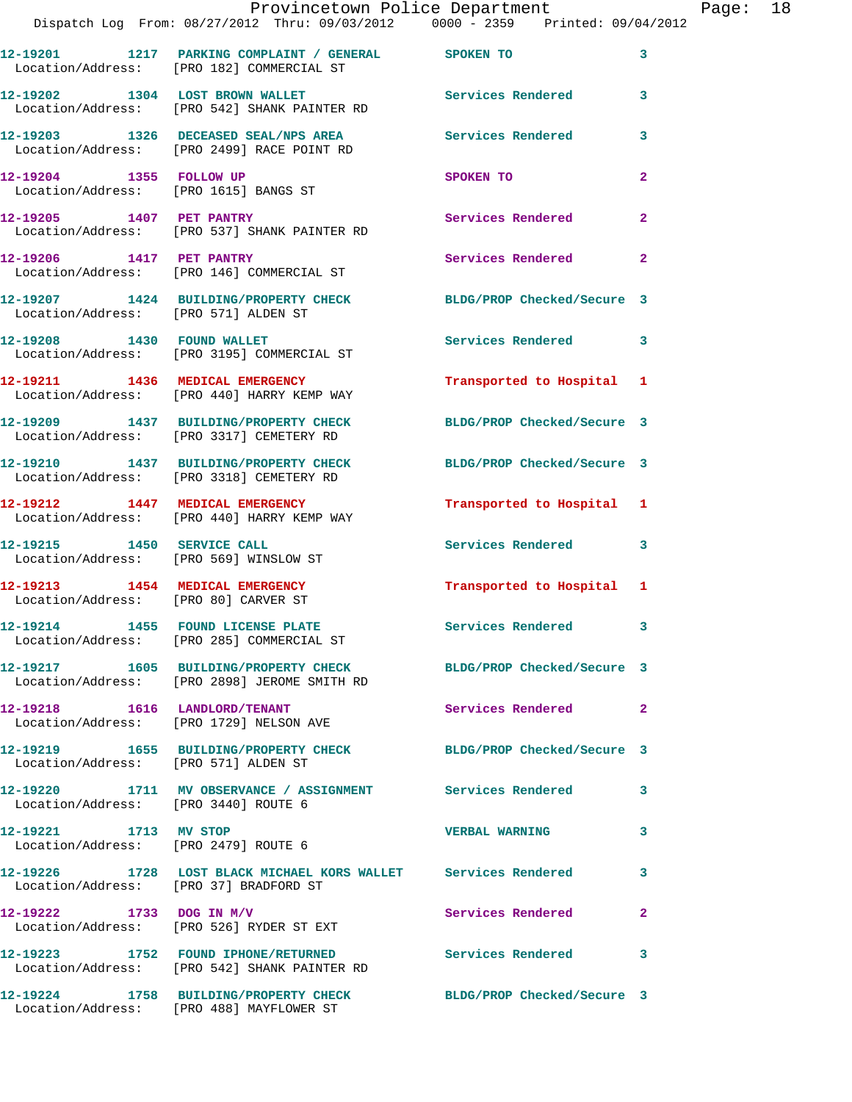|                                                                         | Provincetown Police Department<br>Dispatch Log From: 08/27/2012 Thru: 09/03/2012 0000 - 2359 Printed: 09/04/2012 |                            |                |
|-------------------------------------------------------------------------|------------------------------------------------------------------------------------------------------------------|----------------------------|----------------|
|                                                                         | 12-19201 1217 PARKING COMPLAINT / GENERAL SPOKEN TO<br>Location/Address: [PRO 182] COMMERCIAL ST                 |                            | 3              |
|                                                                         | 12-19202 1304 LOST BROWN WALLET<br>Location/Address: [PRO 542] SHANK PAINTER RD                                  | Services Rendered          | 3              |
|                                                                         | 12-19203 1326 DECEASED SEAL/NPS AREA<br>Location/Address: [PRO 2499] RACE POINT RD                               | <b>Services Rendered</b>   | 3              |
| 12-19204 1355 FOLLOW UP<br>Location/Address: [PRO 1615] BANGS ST        |                                                                                                                  | SPOKEN TO                  | 2              |
| 12-19205 1407 PET PANTRY                                                | Location/Address: [PRO 537] SHANK PAINTER RD                                                                     | <b>Services Rendered</b>   | $\overline{a}$ |
|                                                                         | 12-19206 1417 PET PANTRY<br>Location/Address: [PRO 146] COMMERCIAL ST                                            | Services Rendered          | $\mathbf{2}$   |
| Location/Address: [PRO 571] ALDEN ST                                    | 12-19207 1424 BUILDING/PROPERTY CHECK                                                                            | BLDG/PROP Checked/Secure 3 |                |
|                                                                         | 12-19208 1430 FOUND WALLET<br>Location/Address: [PRO 3195] COMMERCIAL ST                                         | <b>Services Rendered</b>   | 3              |
|                                                                         | 12-19211 1436 MEDICAL EMERGENCY<br>Location/Address: [PRO 440] HARRY KEMP WAY                                    | Transported to Hospital    | 1              |
|                                                                         | 12-19209 1437 BUILDING/PROPERTY CHECK<br>Location/Address: [PRO 3317] CEMETERY RD                                | BLDG/PROP Checked/Secure 3 |                |
|                                                                         | 12-19210 1437 BUILDING/PROPERTY CHECK<br>Location/Address: [PRO 3318] CEMETERY RD                                | BLDG/PROP Checked/Secure 3 |                |
|                                                                         | 12-19212 1447 MEDICAL EMERGENCY<br>Location/Address: [PRO 440] HARRY KEMP WAY                                    | Transported to Hospital 1  |                |
| 12-19215 1450 SERVICE CALL<br>Location/Address: [PRO 569] WINSLOW ST    |                                                                                                                  | Services Rendered          | 3              |
| 12-19213 1454 MEDICAL EMERGENCY<br>Location/Address: [PRO 80] CARVER ST |                                                                                                                  | Transported to Hospital 1  |                |
| 12-19214 1455 FOUND LICENSE PLATE                                       | Location/Address: [PRO 285] COMMERCIAL ST                                                                        | Services Rendered          |                |
|                                                                         | 12-19217 1605 BUILDING/PROPERTY CHECK BLDG/PROP Checked/Secure 3<br>Location/Address: [PRO 2898] JEROME SMITH RD |                            |                |
| 12-19218 1616 LANDLORD/TENANT                                           | Location/Address: [PRO 1729] NELSON AVE                                                                          | Services Rendered          | $\mathbf{2}$   |
| Location/Address: [PRO 571] ALDEN ST                                    | 12-19219 1655 BUILDING/PROPERTY CHECK BLDG/PROP Checked/Secure 3                                                 |                            |                |
| Location/Address: [PRO 3440] ROUTE 6                                    | 12-19220 1711 MV OBSERVANCE / ASSIGNMENT Services Rendered                                                       |                            | 3              |
| 12-19221 1713 MV STOP<br>Location/Address: [PRO 2479] ROUTE 6           |                                                                                                                  | <b>VERBAL WARNING</b>      | 3              |
| Location/Address: [PRO 37] BRADFORD ST                                  | 12-19226 1728 LOST BLACK MICHAEL KORS WALLET Services Rendered                                                   |                            | 3              |
|                                                                         | $12 - 19222$ 1733 DOG IN M/V<br>Location/Address: [PRO 526] RYDER ST EXT                                         | Services Rendered          | $\mathbf{2}$   |
|                                                                         | 12-19223 1752 FOUND IPHONE/RETURNED<br>Location/Address: [PRO 542] SHANK PAINTER RD                              | <b>Services Rendered</b>   | 3              |
|                                                                         | 12-19224 1758 BUILDING/PROPERTY CHECK BLDG/PROP Checked/Secure 3                                                 |                            |                |

Location/Address: [PRO 488] MAYFLOWER ST

Page:  $18$ <br>2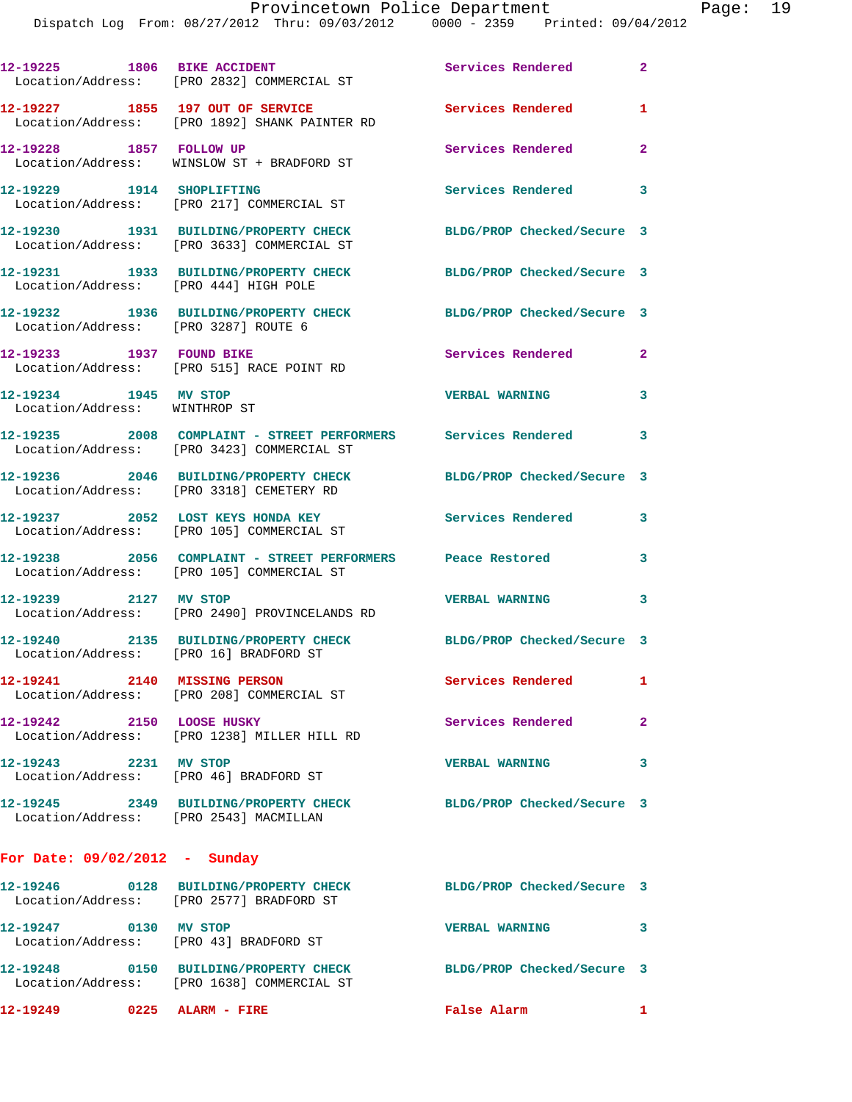|                                                        | , DISPACCII LOG FIOM 00/27/2012 IIIIU 09/03/2012 - 0000 - 2339 - PIIIICEO 09/04                               |                            |              |
|--------------------------------------------------------|---------------------------------------------------------------------------------------------------------------|----------------------------|--------------|
| 12-19225 1806 BIKE ACCIDENT                            | Location/Address: [PRO 2832] COMMERCIAL ST                                                                    | Services Rendered          | $\mathbf{2}$ |
|                                                        | 12-19227 1855 197 OUT OF SERVICE<br>Location/Address: [PRO 1892] SHANK PAINTER RD                             | Services Rendered          | 1            |
| 12-19228 1857 FOLLOW UP                                | Location/Address: WINSLOW ST + BRADFORD ST                                                                    | Services Rendered          | $\mathbf{2}$ |
| 12-19229    1914    SHOPLIFTING                        | Location/Address: [PRO 217] COMMERCIAL ST                                                                     | Services Rendered          | 3            |
|                                                        | 12-19230 1931 BUILDING/PROPERTY CHECK<br>Location/Address: [PRO 3633] COMMERCIAL ST                           | BLDG/PROP Checked/Secure 3 |              |
| Location/Address: [PRO 444] HIGH POLE                  | 12-19231 1933 BUILDING/PROPERTY CHECK                                                                         | BLDG/PROP Checked/Secure 3 |              |
| Location/Address: [PRO 3287] ROUTE 6                   | 12-19232 1936 BUILDING/PROPERTY CHECK                                                                         | BLDG/PROP Checked/Secure 3 |              |
| 12-19233 1937 FOUND BIKE                               | Location/Address: [PRO 515] RACE POINT RD                                                                     | Services Rendered          | $\mathbf{2}$ |
| 12-19234 1945 MV STOP<br>Location/Address: WINTHROP ST |                                                                                                               | <b>VERBAL WARNING</b>      | 3            |
|                                                        | 12-19235 2008 COMPLAINT - STREET PERFORMERS Services Rendered 3<br>Location/Address: [PRO 3423] COMMERCIAL ST |                            |              |
|                                                        | 12-19236 2046 BUILDING/PROPERTY CHECK<br>Location/Address: [PRO 3318] CEMETERY RD                             | BLDG/PROP Checked/Secure 3 |              |
|                                                        | 12-19237 2052 LOST KEYS HONDA KEY<br>Location/Address: [PRO 105] COMMERCIAL ST                                | Services Rendered          | 3            |
|                                                        | 12-19238 2056 COMPLAINT - STREET PERFORMERS Peace Restored<br>Location/Address: [PRO 105] COMMERCIAL ST       |                            | 3            |
| 12-19239 2127 MV STOP                                  | Location/Address: [PRO 2490] PROVINCELANDS RD                                                                 | <b>VERBAL WARNING</b>      | 3            |
| Location/Address: [PRO 16] BRADFORD ST                 | 12-19240 2135 BUILDING/PROPERTY CHECK BLDG/PROP Checked/Secure 3                                              |                            |              |
| 12-19241 2140 MISSING PERSON                           | Location/Address: [PRO 208] COMMERCIAL ST                                                                     | <b>Services Rendered</b>   | $\mathbf{1}$ |
| 12-19242 2150 LOOSE HUSKY                              | Location/Address: [PRO 1238] MILLER HILL RD                                                                   | Services Rendered          | $\mathbf{2}$ |
| 12-19243 2231 MV STOP                                  | Location/Address: [PRO 46] BRADFORD ST                                                                        | <b>VERBAL WARNING</b>      | 3            |
| Location/Address: [PRO 2543] MACMILLAN                 | 12-19245 2349 BUILDING/PROPERTY CHECK BLDG/PROP Checked/Secure 3                                              |                            |              |
| For Date: $09/02/2012$ - Sunday                        |                                                                                                               |                            |              |
|                                                        | 12-19246 0128 BUILDING/PROPERTY CHECK<br>Location/Address: [PRO 2577] BRADFORD ST                             | BLDG/PROP Checked/Secure 3 |              |
| 12-19247 0130 MV STOP                                  | Location/Address: [PRO 43] BRADFORD ST                                                                        | <b>VERBAL WARNING</b>      | $\mathbf{3}$ |
|                                                        | 12-19248 0150 BUILDING/PROPERTY CHECK                                                                         | BLDG/PROP Checked/Secure 3 |              |

**12-19249 0225 ALARM - FIRE False Alarm 1** 

Location/Address: [PRO 1638] COMMERCIAL ST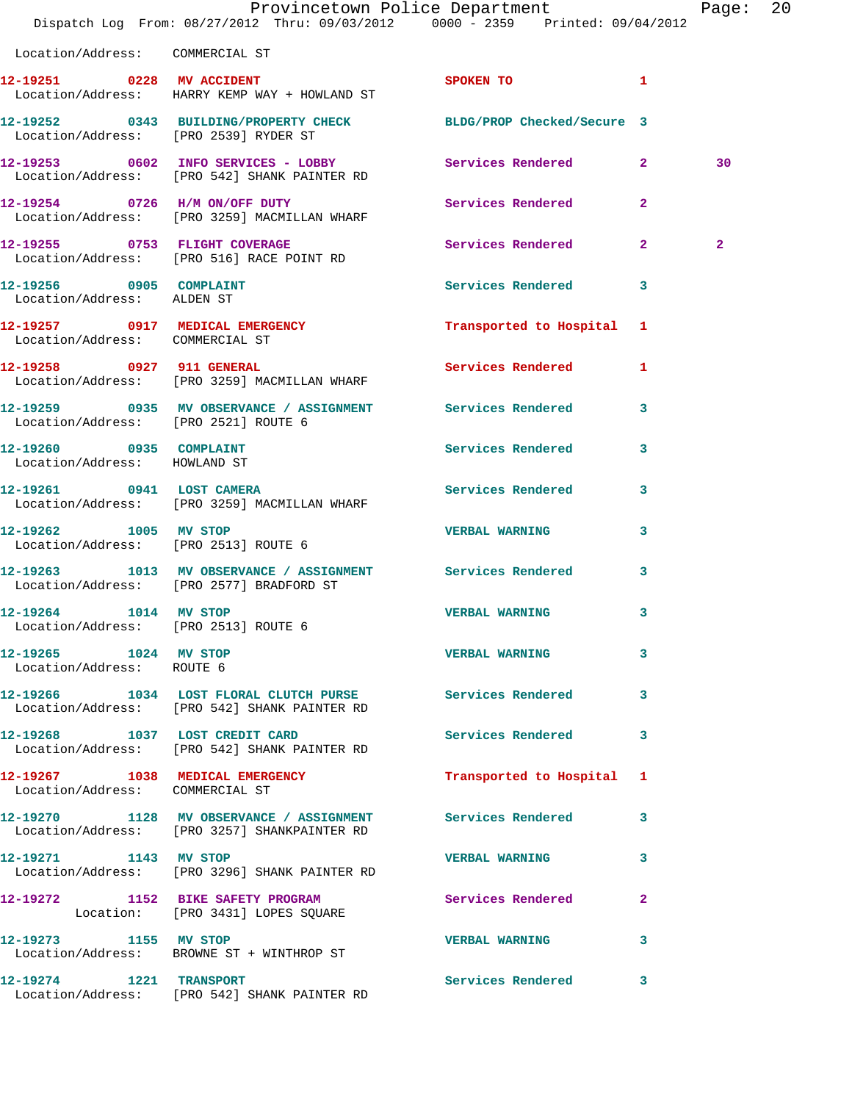|                                                         | Dispatch Log From: 08/27/2012 Thru: 09/03/2012 0000 - 2359 Printed: 09/04/2012                               | Provincetown Police Department |              | Page:          | -20 |
|---------------------------------------------------------|--------------------------------------------------------------------------------------------------------------|--------------------------------|--------------|----------------|-----|
| Location/Address: COMMERCIAL ST                         |                                                                                                              |                                |              |                |     |
|                                                         | 12-19251 0228 MV ACCIDENT<br>Location/Address: HARRY KEMP WAY + HOWLAND ST                                   | SPOKEN TO <b>1</b>             |              |                |     |
| Location/Address: [PRO 2539] RYDER ST                   | 12-19252 0343 BUILDING/PROPERTY CHECK BLDG/PROP Checked/Secure 3                                             |                                |              |                |     |
|                                                         | 12-19253 0602 INFO SERVICES - LOBBY Services Rendered 2<br>Location/Address: [PRO 542] SHANK PAINTER RD      |                                |              | 30             |     |
|                                                         | 12-19254 0726 H/M ON/OFF DUTY<br>Location/Address: [PRO 3259] MACMILLAN WHARF                                | Services Rendered 2            |              |                |     |
|                                                         |                                                                                                              | Services Rendered 2            |              | $\overline{a}$ |     |
| 12-19256 0905 COMPLAINT<br>Location/Address: ALDEN ST   |                                                                                                              | <b>Services Rendered</b>       | 3            |                |     |
| Location/Address: COMMERCIAL ST                         | 12-19257 0917 MEDICAL EMERGENCY                                                                              | Transported to Hospital 1      |              |                |     |
|                                                         | 12-19258 0927 911 GENERAL<br>Location/Address: [PRO 3259] MACMILLAN WHARF                                    | Services Rendered 1            |              |                |     |
| Location/Address: [PRO 2521] ROUTE 6                    | 12-19259 0935 MV OBSERVANCE / ASSIGNMENT Services Rendered                                                   |                                | 3            |                |     |
| 12-19260 0935 COMPLAINT<br>Location/Address: HOWLAND ST |                                                                                                              | Services Rendered 3            |              |                |     |
|                                                         | 12-19261 0941 LOST CAMERA<br>Location/Address: [PRO 3259] MACMILLAN WHARF                                    | Services Rendered              | 3            |                |     |
| 12-19262 1005 MV STOP                                   | Location/Address: [PRO 2513] ROUTE 6                                                                         | <b>VERBAL WARNING</b>          | 3            |                |     |
|                                                         | 12-19263 1013 MV OBSERVANCE / ASSIGNMENT Services Rendered<br>Location/Address: [PRO 2577] BRADFORD ST       |                                | 3            |                |     |
| 12-19264 1014 MV STOP                                   | Location/Address: [PRO 2513] ROUTE 6                                                                         | VERBAL WARNING                 | $\mathbf{3}$ |                |     |
| 12-19265 1024 MV STOP<br>Location/Address: ROUTE 6      |                                                                                                              | <b>VERBAL WARNING</b>          | 3            |                |     |
|                                                         | 12-19266 1034 LOST FLORAL CLUTCH PURSE Services Rendered<br>Location/Address: [PRO 542] SHANK PAINTER RD     |                                | 3            |                |     |
|                                                         | 12-19268 1037 LOST CREDIT CARD<br>Location/Address: [PRO 542] SHANK PAINTER RD                               | Services Rendered              | 3            |                |     |
| Location/Address: COMMERCIAL ST                         | 12-19267 1038 MEDICAL EMERGENCY                                                                              | Transported to Hospital 1      |              |                |     |
|                                                         | 12-19270 1128 MV OBSERVANCE / ASSIGNMENT Services Rendered 3<br>Location/Address: [PRO 3257] SHANKPAINTER RD |                                |              |                |     |
| 12-19271 1143 MV STOP                                   | Location/Address: [PRO 3296] SHANK PAINTER RD                                                                | VERBAL WARNING 3               |              |                |     |
|                                                         | 12-19272 1152 BIKE SAFETY PROGRAM Services Rendered<br>Location: [PRO 3431] LOPES SQUARE                     |                                | $\mathbf{2}$ |                |     |
| 12-19273 1155 MV STOP                                   | Location/Address: BROWNE ST + WINTHROP ST                                                                    | <b>VERBAL WARNING</b>          | 3            |                |     |
| 12-19274 1221 TRANSPORT                                 | Location/Address: [PRO 542] SHANK PAINTER RD                                                                 | Services Rendered 3            |              |                |     |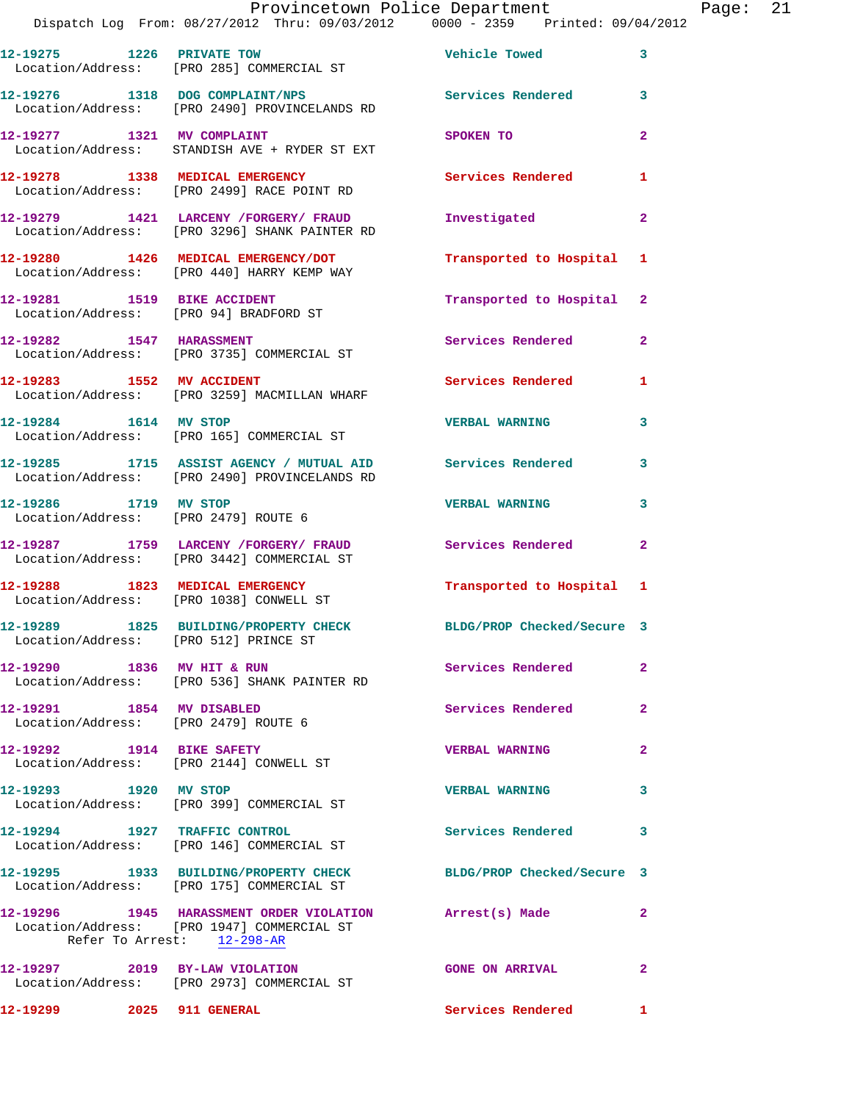|                                                                   | Provincetown Police Department                                                                              |                            |                |
|-------------------------------------------------------------------|-------------------------------------------------------------------------------------------------------------|----------------------------|----------------|
|                                                                   | Dispatch Log From: 08/27/2012 Thru: 09/03/2012 0000 - 2359 Printed: 09/04/2012                              |                            |                |
|                                                                   | 12-19275 1226 PRIVATE TOW<br>Location/Address: [PRO 285] COMMERCIAL ST                                      | Vehicle Towed              | 3              |
|                                                                   | 12-19276 1318 DOG COMPLAINT/NPS<br>Location/Address: [PRO 2490] PROVINCELANDS RD                            | Services Rendered          | 3              |
| 12-19277 1321 MV COMPLAINT                                        | Location/Address: STANDISH AVE + RYDER ST EXT                                                               | SPOKEN TO                  | 2              |
|                                                                   | 12-19278 1338 MEDICAL EMERGENCY<br>Location/Address: [PRO 2499] RACE POINT RD                               | Services Rendered          | 1              |
|                                                                   | 12-19279 1421 LARCENY /FORGERY/ FRAUD<br>Location/Address: [PRO 3296] SHANK PAINTER RD                      | Investigated               | 2              |
|                                                                   | 12-19280 1426 MEDICAL EMERGENCY/DOT<br>Location/Address: [PRO 440] HARRY KEMP WAY                           | Transported to Hospital    | 1              |
| 12-19281 1519 BIKE ACCIDENT                                       | Location/Address: [PRO 94] BRADFORD ST                                                                      | Transported to Hospital    | $\mathbf{2}$   |
|                                                                   | 12-19282 1547 HARASSMENT<br>Location/Address: [PRO 3735] COMMERCIAL ST                                      | Services Rendered          | $\mathbf{2}$   |
| 12-19283 1552 MV ACCIDENT                                         | Location/Address: [PRO 3259] MACMILLAN WHARF                                                                | <b>Services Rendered</b>   | 1              |
| 12-19284 1614 MV STOP                                             | Location/Address: [PRO 165] COMMERCIAL ST                                                                   | <b>VERBAL WARNING</b>      | 3              |
|                                                                   | 12-19285 1715 ASSIST AGENCY / MUTUAL AID Services Rendered<br>Location/Address: [PRO 2490] PROVINCELANDS RD |                            | 3              |
| 12-19286 1719 MV STOP<br>Location/Address: [PRO 2479] ROUTE 6     |                                                                                                             | <b>VERBAL WARNING</b>      | 3              |
|                                                                   | 12-19287 1759 LARCENY / FORGERY / FRAUD<br>Location/Address: [PRO 3442] COMMERCIAL ST                       | Services Rendered          | $\mathbf{2}$   |
|                                                                   | 12-19288 1823 MEDICAL EMERGENCY<br>Location/Address: [PRO 1038] CONWELL ST                                  | Transported to Hospital 1  |                |
| Location/Address: [PRO 512] PRINCE ST                             | 12-19289 1825 BUILDING/PROPERTY CHECK                                                                       | BLDG/PROP Checked/Secure 3 |                |
| 12-19290 1836 MV HIT & RUN                                        | Location/Address: [PRO 536] SHANK PAINTER RD                                                                | Services Rendered          | $\mathbf{2}$   |
| 12-19291 1854 MV DISABLED<br>Location/Address: [PRO 2479] ROUTE 6 |                                                                                                             | Services Rendered          | $\overline{a}$ |
| 12-19292 1914 BIKE SAFETY                                         | Location/Address: [PRO 2144] CONWELL ST                                                                     | <b>VERBAL WARNING</b>      | 2              |
| 12-19293 1920 MV STOP                                             | Location/Address: [PRO 399] COMMERCIAL ST                                                                   | <b>VERBAL WARNING</b>      | 3              |
|                                                                   | 12-19294 1927 TRAFFIC CONTROL<br>Location/Address: [PRO 146] COMMERCIAL ST                                  | Services Rendered          | 3              |
|                                                                   | 12-19295 1933 BUILDING/PROPERTY CHECK<br>Location/Address: [PRO 175] COMMERCIAL ST                          | BLDG/PROP Checked/Secure 3 |                |
|                                                                   | 12-19296 1945 HARASSMENT ORDER VIOLATION Arrest(s) Made                                                     |                            | $\mathbf{2}$   |

Refer To Arrest: 12-298-AR **12-19297 2019 BY-LAW VIOLATION GONE ON ARRIVAL 2**  Location/Address: [PRO 2973] COMMERCIAL ST

Location/Address: [PRO 1947] COMMERCIAL ST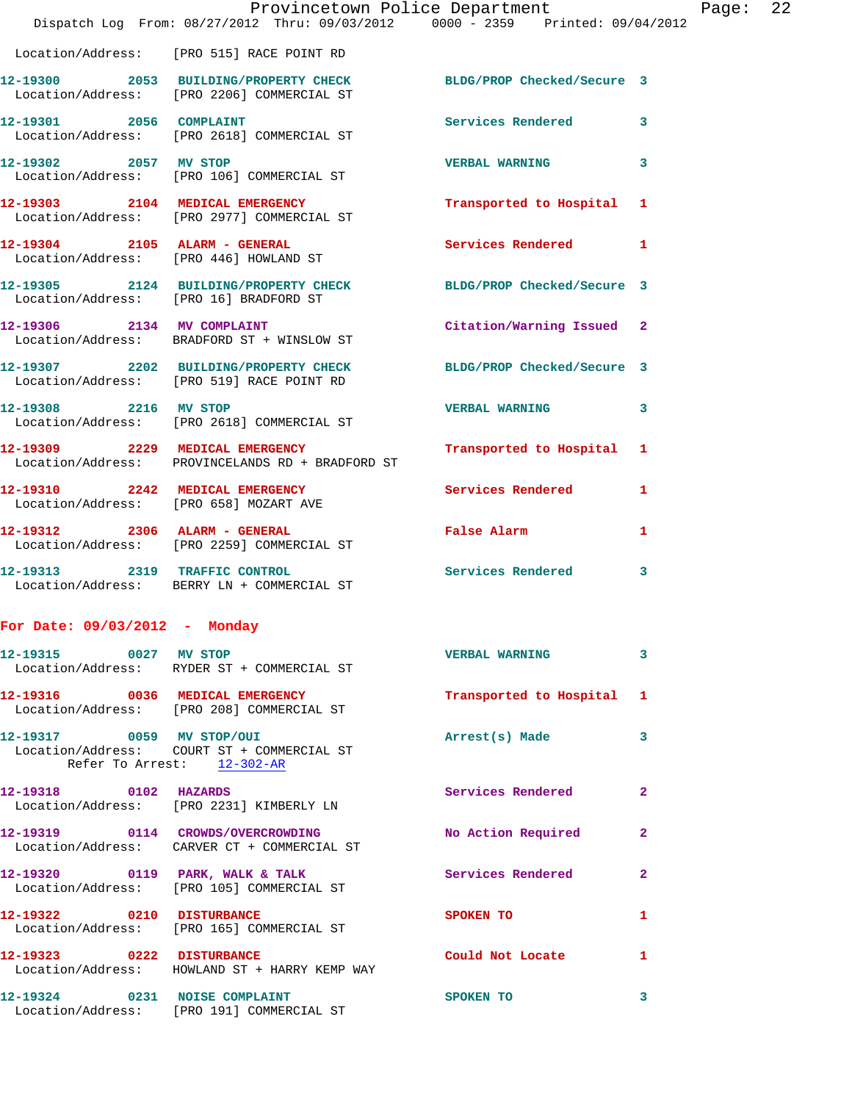|                                 | Provincetown Police Department<br>Dispatch Log From: 08/27/2012 Thru: 09/03/2012 0000 - 2359 Printed: 09/04/2012 |                                                                                                                | Page: 22     |
|---------------------------------|------------------------------------------------------------------------------------------------------------------|----------------------------------------------------------------------------------------------------------------|--------------|
|                                 | Location/Address: [PRO 515] RACE POINT RD                                                                        |                                                                                                                |              |
|                                 | 12-19300 2053 BUILDING/PROPERTY CHECK BLDG/PROP Checked/Secure 3<br>Location/Address: [PRO 2206] COMMERCIAL ST   |                                                                                                                |              |
| 12-19301 2056 COMPLAINT         | Location/Address: [PRO 2618] COMMERCIAL ST                                                                       | Services Rendered 3                                                                                            |              |
|                                 | 12-19302 2057 MV STOP<br>Location/Address: [PRO 106] COMMERCIAL ST                                               | <b>VERBAL WARNING</b>                                                                                          | 3            |
|                                 | 12-19303 2104 MEDICAL EMERGENCY<br>Location/Address: [PRO 2977] COMMERCIAL ST                                    | Transported to Hospital 1                                                                                      |              |
|                                 | 12-19304 2105 ALARM - GENERAL<br>Location/Address: [PRO 446] HOWLAND ST                                          | Services Rendered 1                                                                                            |              |
|                                 | 12-19305 2124 BUILDING/PROPERTY CHECK BLDG/PROP Checked/Secure 3<br>Location/Address: [PRO 16] BRADFORD ST       |                                                                                                                |              |
|                                 | 12-19306 2134 MV COMPLAINT<br>Location/Address: BRADFORD ST + WINSLOW ST                                         | Citation/Warning Issued 2                                                                                      |              |
|                                 | 12-19307 2202 BUILDING/PROPERTY CHECK BLDG/PROP Checked/Secure 3<br>Location/Address: [PRO 519] RACE POINT RD    |                                                                                                                |              |
|                                 | 12-19308 2216 MV STOP<br>Location/Address: [PRO 2618] COMMERCIAL ST                                              | <b>VERBAL WARNING</b>                                                                                          | 3            |
|                                 | 12-19309 2229 MEDICAL EMERGENCY<br>Location/Address: PROVINCELANDS RD + BRADFORD ST                              | Transported to Hospital 1                                                                                      |              |
|                                 | 12-19310 2242 MEDICAL EMERGENCY Services Rendered 1<br>Location/Address: [PRO 658] MOZART AVE                    |                                                                                                                |              |
|                                 | 12-19312 2306 ALARM - GENERAL<br>Location/Address: [PRO 2259] COMMERCIAL ST                                      | False Alarm and the state of the state of the state of the state of the state of the state of the state of the | $\mathbf{1}$ |
|                                 | 12-19313 2319 TRAFFIC CONTROL<br>Location/Address: BERRY LN + COMMERCIAL ST                                      | Services Rendered                                                                                              | 3            |
| For Date: $09/03/2012$ - Monday |                                                                                                                  |                                                                                                                |              |
| 12-19315 0027 MV STOP           | Location/Address: RYDER ST + COMMERCIAL ST                                                                       | <b>VERBAL WARNING</b>                                                                                          | 3            |
|                                 | 12-19316 0036 MEDICAL EMERGENCY<br>Location/Address: [PRO 208] COMMERCIAL ST                                     | Transported to Hospital 1                                                                                      |              |
|                                 | 12-19317 0059 MV STOP/OUI<br>Location/Address: COURT ST + COMMERCIAL ST<br>Refer To Arrest: 12-302-AR            | Arrest(s) Made                                                                                                 | 3            |
| 12-19318 0102 HAZARDS           | Location/Address: [PRO 2231] KIMBERLY LN                                                                         | Services Rendered                                                                                              | $\mathbf{2}$ |
|                                 | 12-19319 0114 CROWDS/OVERCROWDING<br>Location/Address: CARVER CT + COMMERCIAL ST                                 | No Action Required                                                                                             | $\mathbf{2}$ |
|                                 | 12-19320 0119 PARK, WALK & TALK<br>Location/Address: [PRO 105] COMMERCIAL ST                                     | <b>Services Rendered</b>                                                                                       | $\mathbf{2}$ |
| 12-19322 0210 DISTURBANCE       | Location/Address: [PRO 165] COMMERCIAL ST                                                                        | <b>SPOKEN TO</b>                                                                                               | $\mathbf{1}$ |
|                                 | 12-19323 0222 DISTURBANCE<br>Location/Address: HOWLAND ST + HARRY KEMP WAY                                       | Could Not Locate                                                                                               | $\mathbf{1}$ |
|                                 |                                                                                                                  |                                                                                                                |              |

**12-19324 0231 NOISE COMPLAINT SPOKEN TO 3** 

Location/Address: [PRO 191] COMMERCIAL ST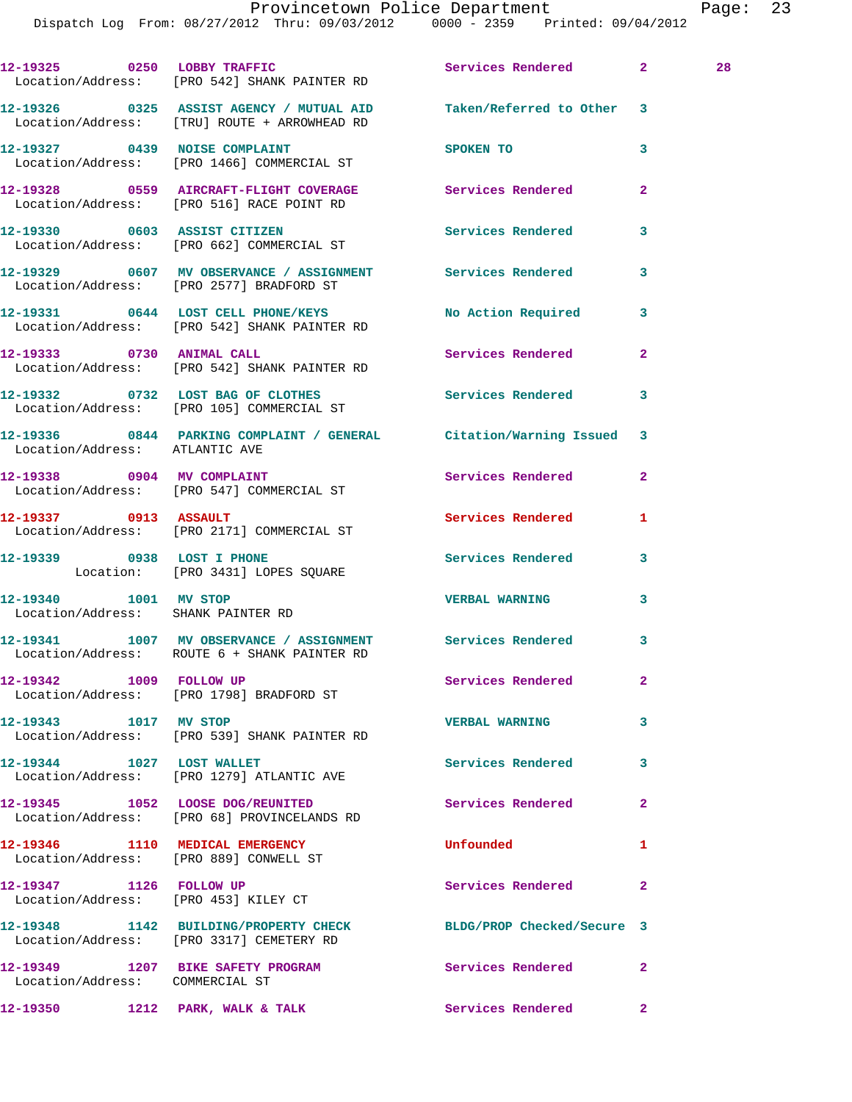Dispatch Log From: 08/27/2012 Thru: 09/03/2012 0000 - 2359 Printed: 09/04/2012

|                                                             | 12-19325 0250 LOBBY TRAFFIC<br>Location/Address: [PRO 542] SHANK PAINTER RD                                        | Services Rendered 2      |                | 28 |
|-------------------------------------------------------------|--------------------------------------------------------------------------------------------------------------------|--------------------------|----------------|----|
|                                                             | 12-19326 0325 ASSIST AGENCY / MUTUAL AID Taken/Referred to Other 3<br>Location/Address: [TRU] ROUTE + ARROWHEAD RD |                          |                |    |
|                                                             | 12-19327 0439 NOISE COMPLAINT<br>Location/Address: [PRO 1466] COMMERCIAL ST                                        | SPOKEN TO                | 3              |    |
|                                                             | 12-19328 0559 AIRCRAFT-FLIGHT COVERAGE<br>Location/Address: [PRO 516] RACE POINT RD                                | Services Rendered        | $\mathbf{2}$   |    |
|                                                             |                                                                                                                    | <b>Services Rendered</b> | 3              |    |
|                                                             | 12-19329 0607 MV OBSERVANCE / ASSIGNMENT Services Rendered<br>Location/Address: [PRO 2577] BRADFORD ST             |                          | 3              |    |
|                                                             | 12-19331 0644 LOST CELL PHONE/KEYS<br>Location/Address: [PRO 542] SHANK PAINTER RD                                 | No Action Required 3     |                |    |
|                                                             | 12-19333 0730 ANIMAL CALL<br>Location/Address: [PRO 542] SHANK PAINTER RD                                          | <b>Services Rendered</b> | $\mathbf{2}$   |    |
|                                                             | 12-19332 0732 LOST BAG OF CLOTHES<br>Location/Address: [PRO 105] COMMERCIAL ST                                     | Services Rendered 3      |                |    |
| Location/Address: ATLANTIC AVE                              | 12-19336 0844 PARKING COMPLAINT / GENERAL Citation/Warning Issued                                                  |                          | 3              |    |
|                                                             | 12-19338 0904 MV COMPLAINT<br>Location/Address: [PRO 547] COMMERCIAL ST                                            | <b>Services Rendered</b> | $\overline{2}$ |    |
|                                                             | 12-19337 0913 ASSAULT<br>Location/Address: [PRO 2171] COMMERCIAL ST                                                | Services Rendered        | 1              |    |
| 12-19339 0938 LOST I PHONE                                  | Location: [PRO 3431] LOPES SQUARE                                                                                  | <b>Services Rendered</b> | 3              |    |
| 12-19340 1001 MV STOP<br>Location/Address: SHANK PAINTER RD |                                                                                                                    | <b>VERBAL WARNING</b>    | 3              |    |
|                                                             | 12-19341 1007 MV OBSERVANCE / ASSIGNMENT Services Rendered 3<br>Location/Address: ROUTE 6 + SHANK PAINTER RD       |                          |                |    |
| 12-19342 1009 FOLLOW UP                                     | Location/Address: [PRO 1798] BRADFORD ST                                                                           | Services Rendered        | $\mathbf{2}$   |    |
| 12-19343 1017 MV STOP                                       | Location/Address: [PRO 539] SHANK PAINTER RD                                                                       | <b>VERBAL WARNING</b>    | 3              |    |
| 12-19344 1027 LOST WALLET                                   | Location/Address: [PRO 1279] ATLANTIC AVE                                                                          | <b>Services Rendered</b> | 3              |    |
|                                                             | 12-19345 1052 LOOSE DOG/REUNITED<br>Location/Address: [PRO 68] PROVINCELANDS RD                                    | Services Rendered        | $\mathbf{2}$   |    |
| Location/Address: [PRO 889] CONWELL ST                      | 12-19346 1110 MEDICAL EMERGENCY                                                                                    | Unfounded                | 1              |    |
| 12-19347 1126 FOLLOW UP                                     | Location/Address: [PRO 453] KILEY CT                                                                               | Services Rendered        | $\mathbf{2}$   |    |
|                                                             | 12-19348 1142 BUILDING/PROPERTY CHECK BLDG/PROP Checked/Secure 3<br>Location/Address: [PRO 3317] CEMETERY RD       |                          |                |    |
| Location/Address: COMMERCIAL ST                             | 12-19349 1207 BIKE SAFETY PROGRAM Services Rendered                                                                |                          | $\mathbf{2}$   |    |

**12-19350 1212 PARK, WALK & TALK Services Rendered 2**